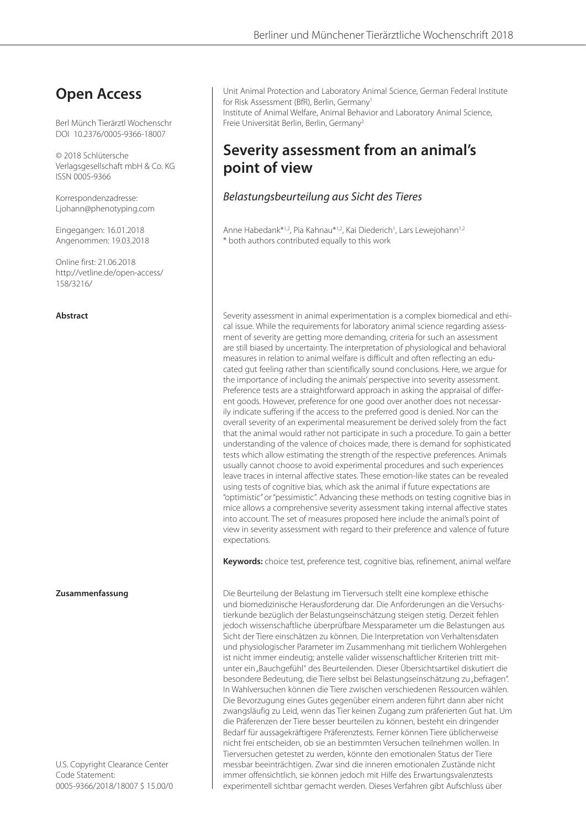# **Open Access**

Berl Münch Tierärztl Wochenschr DOI 10.2376/0005-9366-18007

© 2018 Schlütersche Verlagsgesellschaft mbH & Co. KG ISSN 0005-9366

Korrespondenzadresse: Ljohann@phenotyping.com

Eingegangen: 16.01.2018 Angenommen: 19.03.2018

Online first: 21.06.2018 http://vetline.de/open-access/ 158/3216/

U.S. Copyright Clearance Center Code Statement: 0005-9366/2018/18007 \$ 15.00/0 Unit Animal Protection and Laboratory Animal Science, German Federal Institute for Risk Assessment (BfR), Berlin, Germany<sup>1</sup> Institute of Animal Welfare, Animal Behavior and Laboratory Animal Science, Freie Universität Berlin, Berlin, Germany2

# **Severity assessment from an animal's point of view**

# *Belastungsbeurteilung aus Sicht des Tieres*

Anne Habedank\*<sup>1,2</sup>, Pia Kahnau\*<sup>1,2</sup>, Kai Diederich<sup>1</sup>, Lars Lewejohann<sup>1,2</sup> \* both authors contributed equally to this work

**Abstract** Severity assessment in animal experimentation is a complex biomedical and ethical issue. While the requirements for laboratory animal science regarding assessment of severity are getting more demanding, criteria for such an assessment are still biased by uncertainty. The interpretation of physiological and behavioral measures in relation to animal welfare is difficult and often reflecting an educated gut feeling rather than scientifically sound conclusions. Here, we argue for the importance of including the animals' perspective into severity assessment. Preference tests are a straightforward approach in asking the appraisal of different goods. However, preference for one good over another does not necessarily indicate suffering if the access to the preferred good is denied. Nor can the overall severity of an experimental measurement be derived solely from the fact that the animal would rather not participate in such a procedure. To gain a better understanding of the valence of choices made, there is demand for sophisticated tests which allow estimating the strength of the respective preferences. Animals usually cannot choose to avoid experimental procedures and such experiences leave traces in internal affective states. These emotion-like states can be revealed using tests of cognitive bias, which ask the animal if future expectations are "optimistic" or "pessimistic". Advancing these methods on testing cognitive bias in mice allows a comprehensive severity assessment taking internal affective states into account. The set of measures proposed here include the animal's point of view in severity assessment with regard to their preference and valence of future expectations.

**Keywords:** choice test, preference test, cognitive bias, refinement, animal welfare

**Zusammenfassung** Die Beurteilung der Belastung im Tierversuch stellt eine komplexe ethische und biomedizinische Herausforderung dar. Die Anforderungen an die Versuchstierkunde bezüglich der Belastungseinschätzung steigen stetig. Derzeit fehlen jedoch wissenschaftliche überprüfbare Messparameter um die Belastungen aus Sicht der Tiere einschätzen zu können. Die Interpretation von Verhaltensdaten und physiologischer Parameter im Zusammenhang mit tierlichem Wohlergehen ist nicht immer eindeutig; anstelle valider wissenschaftlicher Kriterien tritt mitunter ein "Bauchgefühl" des Beurteilenden. Dieser Übersichtsartikel diskutiert die besondere Bedeutung, die Tiere selbst bei Belastungseinschätzung zu "befragen". In Wahlversuchen können die Tiere zwischen verschiedenen Ressourcen wählen. Die Bevorzugung eines Gutes gegenüber einem anderen führt dann aber nicht zwangsläufig zu Leid, wenn das Tier keinen Zugang zum präferierten Gut hat. Um die Präferenzen der Tiere besser beurteilen zu können, besteht ein dringender Bedarf für aussagekräftigere Präferenztests. Ferner können Tiere üblicherweise nicht frei entscheiden, ob sie an bestimmten Versuchen teilnehmen wollen. In Tierversuchen getestet zu werden, könnte den emotionalen Status der Tiere messbar beeinträchtigen. Zwar sind die inneren emotionalen Zustände nicht immer offensichtlich, sie können jedoch mit Hilfe des Erwartungsvalenztests experimentell sichtbar gemacht werden. Dieses Verfahren gibt Aufschluss über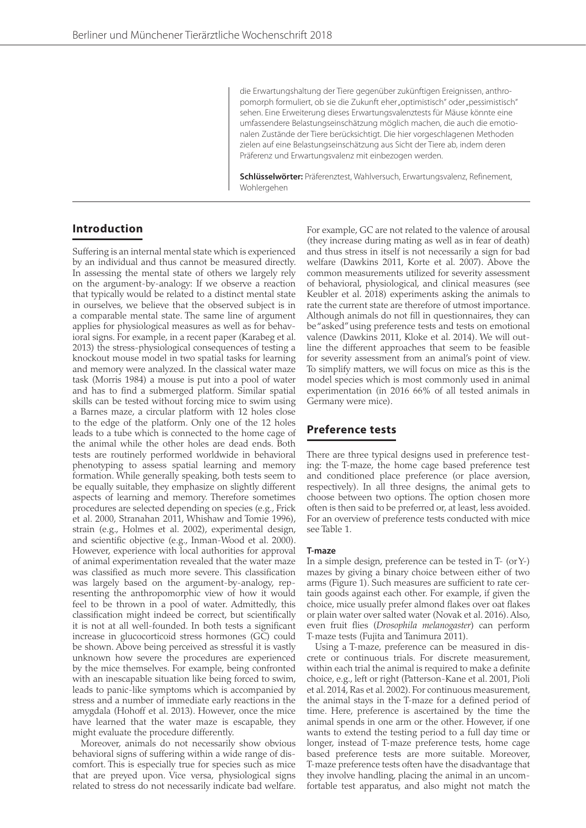die Erwartungshaltung der Tiere gegenüber zukünftigen Ereignissen, anthropomorph formuliert, ob sie die Zukunft eher "optimistisch" oder "pessimistisch" sehen. Eine Erweiterung dieses Erwartungsvalenztests für Mäuse könnte eine umfassendere Belastungseinschätzung möglich machen, die auch die emotionalen Zustände der Tiere berücksichtigt. Die hier vorgeschlagenen Methoden zielen auf eine Belastungseinschätzung aus Sicht der Tiere ab, indem deren Präferenz und Erwartungsvalenz mit einbezogen werden.

**Schlüsselwörter:** Präferenztest, Wahlversuch, Erwartungsvalenz, Refinement, Wohlergehen

# **Introduction**

Suffering is an internal mental state which is experienced by an individual and thus cannot be measured directly. In assessing the mental state of others we largely rely on the argument-by-analogy: If we observe a reaction that typically would be related to a distinct mental state in ourselves, we believe that the observed subject is in a comparable mental state. The same line of argument applies for physiological measures as well as for behavioral signs. For example, in a recent paper (Karabeg et al. 2013) the stress-physiological consequences of testing a knockout mouse model in two spatial tasks for learning and memory were analyzed. In the classical water maze task (Morris 1984) a mouse is put into a pool of water and has to find a submerged platform. Similar spatial skills can be tested without forcing mice to swim using a Barnes maze, a circular platform with 12 holes close to the edge of the platform. Only one of the 12 holes leads to a tube which is connected to the home cage of the animal while the other holes are dead ends. Both tests are routinely performed worldwide in behavioral phenotyping to assess spatial learning and memory formation. While generally speaking, both tests seem to be equally suitable, they emphasize on slightly different aspects of learning and memory. Therefore sometimes procedures are selected depending on species (e.g., Frick et al. 2000, Stranahan 2011, Whishaw and Tomie 1996), strain (e.g., Holmes et al. 2002), experimental design, and scientific objective (e.g., Inman-Wood et al. 2000). However, experience with local authorities for approval of animal experimentation revealed that the water maze was classified as much more severe. This classification was largely based on the argument-by-analogy, representing the anthropomorphic view of how it would feel to be thrown in a pool of water. Admittedly, this classification might indeed be correct, but scientifically it is not at all well-founded. In both tests a significant increase in glucocorticoid stress hormones (GC) could be shown. Above being perceived as stressful it is vastly unknown how severe the procedures are experienced by the mice themselves. For example, being confronted with an inescapable situation like being forced to swim, leads to panic-like symptoms which is accompanied by stress and a number of immediate early reactions in the amygdala (Hohoff et al. 2013). However, once the mice have learned that the water maze is escapable, they might evaluate the procedure differently.

Moreover, animals do not necessarily show obvious behavioral signs of suffering within a wide range of discomfort. This is especially true for species such as mice that are preyed upon. Vice versa, physiological signs related to stress do not necessarily indicate bad welfare. For example, GC are not related to the valence of arousal (they increase during mating as well as in fear of death) and thus stress in itself is not necessarily a sign for bad welfare (Dawkins 2011, Korte et al. 2007). Above the common measurements utilized for severity assessment of behavioral, physiological, and clinical measures (see Keubler et al. 2018) experiments asking the animals to rate the current state are therefore of utmost importance. Although animals do not fill in questionnaires, they can be "asked" using preference tests and tests on emotional valence (Dawkins 2011, Kloke et al. 2014). We will outline the different approaches that seem to be feasible for severity assessment from an animal's point of view. To simplify matters, we will focus on mice as this is the model species which is most commonly used in animal experimentation (in 2016 66% of all tested animals in Germany were mice).

# **Preference tests**

There are three typical designs used in preference testing: the T-maze, the home cage based preference test and conditioned place preference (or place aversion, respectively). In all three designs, the animal gets to choose between two options. The option chosen more often is then said to be preferred or, at least, less avoided. For an overview of preference tests conducted with mice see Table 1.

#### **T-maze**

In a simple design, preference can be tested in T- (or Y-) mazes by giving a binary choice between either of two arms (Figure 1). Such measures are sufficient to rate certain goods against each other. For example, if given the choice, mice usually prefer almond flakes over oat flakes or plain water over salted water (Novak et al. 2016). Also, even fruit flies (*Drosophila melanogaster*) can perform T-maze tests (Fujita and Tanimura 2011).

Using a T-maze, preference can be measured in discrete or continuous trials. For discrete measurement, within each trial the animal is required to make a definite choice, e.g., left or right (Patterson-Kane et al. 2001, Pioli et al. 2014, Ras et al. 2002). For continuous measurement, the animal stays in the T-maze for a defined period of time. Here, preference is ascertained by the time the animal spends in one arm or the other. However, if one wants to extend the testing period to a full day time or longer, instead of T-maze preference tests, home cage based preference tests are more suitable. Moreover, T-maze preference tests often have the disadvantage that they involve handling, placing the animal in an uncomfortable test apparatus, and also might not match the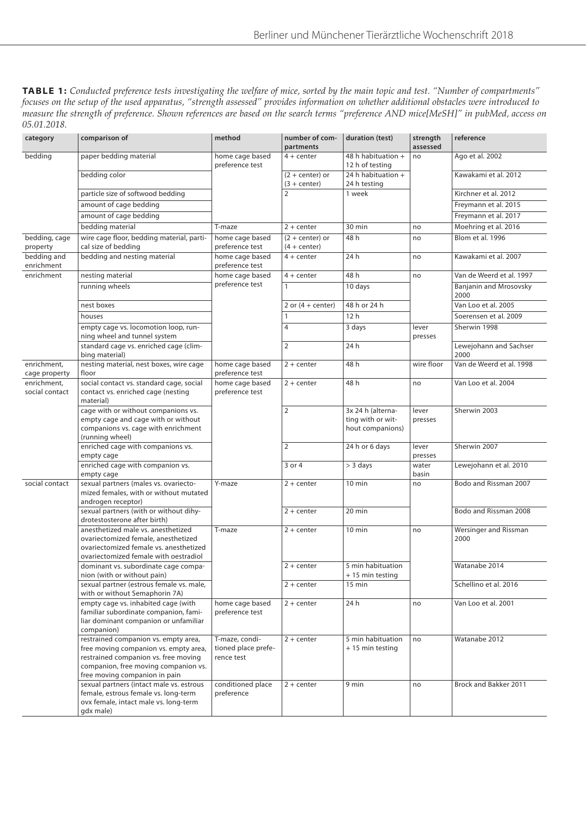**TABLE 1:** *Conducted preference tests investigating the welfare of mice, sorted by the main topic and test. "Number of compartments" focuses on the setup of the used apparatus, "strength assessed" provides information on whether additional obstacles were introduced to measure the strength of preference. Shown references are based on the search terms "preference AND mice[MeSH]" in pubMed, access on 05.01.2018.*

| category                      | comparison of                                                                                                                                                                                  | method                                              | number of com-<br>partments         | duration (test)                                            | strength<br>assessed | reference                      |
|-------------------------------|------------------------------------------------------------------------------------------------------------------------------------------------------------------------------------------------|-----------------------------------------------------|-------------------------------------|------------------------------------------------------------|----------------------|--------------------------------|
| bedding                       | paper bedding material                                                                                                                                                                         | home cage based<br>preference test                  | $4 + center$                        | 48 h habituation +<br>12 h of testing                      | no                   | Ago et al. 2002                |
|                               | bedding color                                                                                                                                                                                  |                                                     | $(2 + center)$ or<br>$(3 + center)$ | 24 h habituation +<br>24 h testing                         |                      | Kawakami et al. 2012           |
|                               | particle size of softwood bedding                                                                                                                                                              |                                                     | $\overline{2}$                      | 1 week                                                     |                      | Kirchner et al. 2012           |
|                               | amount of cage bedding                                                                                                                                                                         |                                                     |                                     |                                                            |                      | Freymann et al. 2015           |
|                               | amount of cage bedding                                                                                                                                                                         |                                                     |                                     |                                                            |                      | Freymann et al. 2017           |
|                               | bedding material                                                                                                                                                                               | T-maze                                              | $2 + center$                        | 30 min                                                     | no                   | Moehring et al. 2016           |
| bedding, cage<br>property     | wire cage floor, bedding material, parti-<br>cal size of bedding                                                                                                                               | home cage based<br>preference test                  | $(2 + center)$ or<br>$(4 + center)$ | 48 h                                                       | no                   | Blom et al. 1996               |
| bedding and<br>enrichment     | bedding and nesting material                                                                                                                                                                   | home cage based<br>preference test                  | $4 + center$                        | 24 h                                                       | no                   | Kawakami et al. 2007           |
| enrichment                    | nesting material                                                                                                                                                                               | home cage based                                     | $4 + center$                        | 48 h                                                       | no                   | Van de Weerd et al. 1997       |
|                               | running wheels                                                                                                                                                                                 | preference test                                     | $\mathbf{1}$                        | 10 days                                                    | lever<br>presses     | Banjanin and Mrosovsky<br>2000 |
|                               | nest boxes                                                                                                                                                                                     |                                                     | 2 or $(4 + center)$                 | 48 h or 24 h                                               |                      | Van Loo et al. 2005            |
|                               | houses                                                                                                                                                                                         |                                                     | 1                                   | 12 <sub>h</sub>                                            |                      | Soerensen et al. 2009          |
|                               | empty cage vs. locomotion loop, run-<br>ning wheel and tunnel system                                                                                                                           |                                                     | $\overline{4}$                      | 3 days                                                     |                      | Sherwin 1998                   |
|                               | standard cage vs. enriched cage (clim-<br>bing material)                                                                                                                                       |                                                     | $\overline{2}$                      | 24 h                                                       |                      | Lewejohann and Sachser<br>2000 |
| enrichment.<br>cage property  | nesting material, nest boxes, wire cage<br>floor                                                                                                                                               | home cage based<br>preference test                  | $2 + center$                        | 48 h                                                       | wire floor           | Van de Weerd et al. 1998       |
| enrichment,<br>social contact | social contact vs. standard cage, social<br>contact vs. enriched cage (nesting<br>material)                                                                                                    | home cage based<br>preference test                  | $2 + center$                        | 48 h                                                       | no                   | Van Loo et al. 2004            |
|                               | cage with or without companions vs.<br>empty cage and cage with or without<br>companions vs. cage with enrichment<br>(running wheel)                                                           |                                                     | $\overline{2}$                      | 3x 24 h (alterna-<br>ting with or wit-<br>hout companions) | lever<br>presses     | Sherwin 2003                   |
|                               | enriched cage with companions vs.<br>empty cage                                                                                                                                                |                                                     | $\overline{2}$                      | 24 h or 6 days                                             | lever<br>presses     | Sherwin 2007                   |
|                               | enriched cage with companion vs.<br>empty cage                                                                                                                                                 |                                                     | 3 or 4                              | $>$ 3 days                                                 | water<br>basin       | Lewejohann et al. 2010         |
| social contact                | sexual partners (males vs. ovariecto-<br>mized females, with or without mutated<br>androgen receptor)                                                                                          | Y-maze                                              | $2 + center$                        | $10 \text{ min}$                                           | no                   | Bodo and Rissman 2007          |
|                               | sexual partners (with or without dihy-<br>drotestosterone after birth)                                                                                                                         |                                                     | $2 + center$                        | 20 min                                                     |                      | Bodo and Rissman 2008          |
|                               | anesthetized male vs. anesthetized<br>ovariectomized female, anesthetized<br>ovariectomized female vs. anesthetized<br>ovariectomized female with oestradiol                                   | T-maze                                              | $2 + center$                        | $10 \text{ min}$                                           | no                   | Wersinger and Rissman<br>2000  |
|                               | dominant vs. subordinate cage compa-<br>nion (with or without pain)                                                                                                                            |                                                     | $2 + center$                        | 5 min habituation<br>+ 15 min testing                      |                      | Watanabe 2014                  |
|                               | sexual partner (estrous female vs. male,<br>with or without Semaphorin 7A)                                                                                                                     |                                                     | $2 + center$                        | $15 \text{ min}$                                           |                      | Schellino et al. 2016          |
|                               | empty cage vs. inhabited cage (with<br>familiar subordinate companion, fami-<br>liar dominant companion or unfamiliar<br>companion)                                                            | home cage based<br>preference test                  | $2 + center$                        | 24 h                                                       | no                   | Van Loo et al. 2001            |
|                               | restrained companion vs. empty area,<br>free moving companion vs. empty area,<br>restrained companion vs. free moving<br>companion, free moving companion vs.<br>free moving companion in pain | T-maze, condi-<br>tioned place prefe-<br>rence test | $2 + center$                        | 5 min habituation<br>+ 15 min testing                      | no                   | Watanabe 2012                  |
|                               | sexual partners (intact male vs. estrous<br>female, estrous female vs. long-term<br>ovx female, intact male vs. long-term<br>gdx male)                                                         | conditioned place<br>preference                     | $2 + center$                        | 9 min                                                      | no                   | Brock and Bakker 2011          |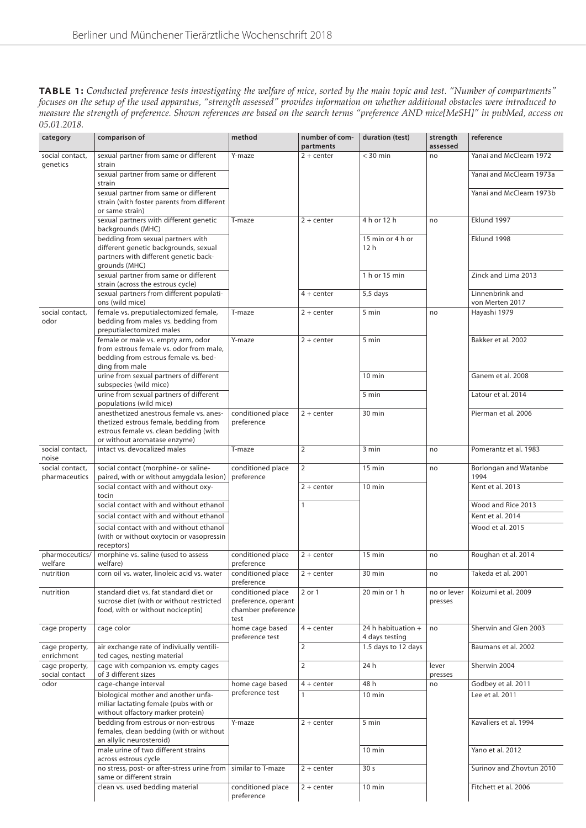| <b>TABLE 1:</b> Conducted preference tests investigating the welfare of mice, sorted by the main topic and test. "Number of compartments" |
|-------------------------------------------------------------------------------------------------------------------------------------------|
| focuses on the setup of the used apparatus, "strength assessed" provides information on whether additional obstacles were introduced to   |
| measure the strength of preference. Shown references are based on the search terms "preference AND mice[MeSH]" in pubMed, access on       |
| 05.01.2018.                                                                                                                               |

| category                         | comparison of                                                                                                                                              | method                                                                 | number of com-<br>partments | duration (test)                      | strength<br>assessed   | reference                            |
|----------------------------------|------------------------------------------------------------------------------------------------------------------------------------------------------------|------------------------------------------------------------------------|-----------------------------|--------------------------------------|------------------------|--------------------------------------|
| social contact,                  | sexual partner from same or different                                                                                                                      | Y-maze                                                                 | $2 + center$                | $<$ 30 min                           | no                     | Yanai and McClearn 1972              |
| genetics                         | strain<br>sexual partner from same or different                                                                                                            |                                                                        |                             |                                      |                        | Yanai and McClearn 1973a             |
|                                  | strain<br>sexual partner from same or different<br>strain (with foster parents from different                                                              |                                                                        |                             |                                      |                        | Yanai and McClearn 1973b             |
|                                  | or same strain)<br>sexual partners with different genetic                                                                                                  | T-maze                                                                 | $2 + center$                | 4 h or 12 h                          | no                     | Eklund 1997                          |
|                                  | backgrounds (MHC)                                                                                                                                          |                                                                        |                             |                                      |                        |                                      |
|                                  | bedding from sexual partners with<br>different genetic backgrounds, sexual<br>partners with different genetic back-<br>grounds (MHC)                       |                                                                        |                             | 15 min or 4 h or<br>12 <sub>h</sub>  |                        | Eklund 1998                          |
|                                  | sexual partner from same or different<br>strain (across the estrous cycle)                                                                                 |                                                                        |                             | 1 h or 15 min                        |                        | Zinck and Lima 2013                  |
|                                  | sexual partners from different populati-<br>ons (wild mice)                                                                                                |                                                                        | $4 + center$                | 5,5 days                             |                        | Linnenbrink and<br>von Merten 2017   |
| social contact,<br>odor          | female vs. preputialectomized female,<br>bedding from males vs. bedding from<br>preputialectomized males                                                   | T-maze                                                                 | $2 + center$                | 5 min                                | no                     | Hayashi 1979                         |
|                                  | female or male vs. empty arm, odor<br>from estrous female vs. odor from male,<br>bedding from estrous female vs. bed-<br>ding from male                    | Y-maze                                                                 | $2 + center$                | 5 min                                |                        | Bakker et al. 2002                   |
|                                  | urine from sexual partners of different<br>subspecies (wild mice)                                                                                          |                                                                        |                             | $10$ min                             |                        | Ganem et al. 2008                    |
|                                  | urine from sexual partners of different<br>populations (wild mice)                                                                                         |                                                                        |                             | 5 min                                |                        | Latour et al. 2014                   |
|                                  | anesthetized anestrous female vs. anes-<br>thetized estrous female, bedding from<br>estrous female vs. clean bedding (with<br>or without aromatase enzyme) | conditioned place<br>preference                                        | $2 + center$                | 30 min                               |                        | Pierman et al. 2006                  |
| social contact,<br>noise         | intact vs. devocalized males                                                                                                                               | T-maze                                                                 | $\overline{2}$              | 3 min                                | no                     | Pomerantz et al. 1983                |
| social contact,<br>pharmaceutics | social contact (morphine- or saline-<br>paired, with or without amygdala lesion)                                                                           | conditioned place<br>preference                                        | 2                           | 15 min                               | no                     | <b>Borlongan and Watanbe</b><br>1994 |
|                                  | social contact with and without oxy-<br>tocin                                                                                                              |                                                                        | $2 + center$                | $10 \text{ min}$                     |                        | Kent et al. 2013                     |
|                                  | social contact with and without ethanol                                                                                                                    |                                                                        | $\mathbf{1}$                |                                      |                        | Wood and Rice 2013                   |
|                                  | social contact with and without ethanol                                                                                                                    |                                                                        |                             |                                      |                        | Kent et al. 2014                     |
|                                  | social contact with and without ethanol                                                                                                                    |                                                                        |                             |                                      |                        | Wood et al. 2015                     |
|                                  | (with or without oxytocin or vasopressin<br>receptors)                                                                                                     |                                                                        |                             |                                      |                        |                                      |
| pharmoceutics/<br>welfare        | morphine vs. saline (used to assess<br>welfare)                                                                                                            | conditioned place<br>preference                                        | $2 + center$                | 15 min                               | no                     | Roughan et al. 2014                  |
| nutrition                        | corn oil vs. water, linoleic acid vs. water                                                                                                                | conditioned place<br>preference                                        | $\overline{2 + center}$     | $30 \text{ min}$                     | no                     | Takeda et al. 2001                   |
| nutrition                        | standard diet vs. fat standard diet or<br>sucrose diet (with or without restricted<br>food, with or without nociceptin)                                    | conditioned place<br>preference, operant<br>chamber preference<br>test | 2 or 1                      | 20 min or 1 h                        | no or lever<br>presses | Koizumi et al. 2009                  |
| cage property                    | cage color                                                                                                                                                 | home cage based<br>preference test                                     | $4 + center$                | 24 h habituation +<br>4 days testing | no                     | Sherwin and Glen 2003                |
| cage property,<br>enrichment     | air exchange rate of indiviually ventili-<br>ted cages, nesting material                                                                                   |                                                                        | $\overline{2}$              | 1.5 days to 12 days                  |                        | Baumans et al. 2002                  |
| cage property,<br>social contact | cage with companion vs. empty cages<br>of 3 different sizes                                                                                                |                                                                        | $\overline{2}$              | 24 h                                 | lever<br>presses       | Sherwin 2004                         |
| odor                             | cage-change interval                                                                                                                                       | home cage based                                                        | $4 + center$                | 48 h                                 | no                     | Godbey et al. 2011                   |
|                                  | biological mother and another unfa-<br>miliar lactating female (pubs with or<br>without olfactory marker protein)                                          | preference test                                                        | $\mathbf{1}$                | 10 min                               |                        | Lee et al. 2011                      |
|                                  | bedding from estrous or non-estrous<br>females, clean bedding (with or without<br>an allylic neurosteroid)                                                 | Y-maze                                                                 | $2 + center$                | 5 min                                |                        | Kavaliers et al. 1994                |
|                                  | male urine of two different strains<br>across estrous cycle                                                                                                |                                                                        |                             | 10 min                               |                        | Yano et al. 2012                     |
|                                  | no stress, post- or after-stress urine from<br>same or different strain                                                                                    | similar to T-maze                                                      | $2 + center$                | 30 <sub>s</sub>                      |                        | Surinov and Zhovtun 2010             |
|                                  | clean vs. used bedding material                                                                                                                            | conditioned place<br>preference                                        | $2 + center$                | 10 min                               |                        | Fitchett et al. 2006                 |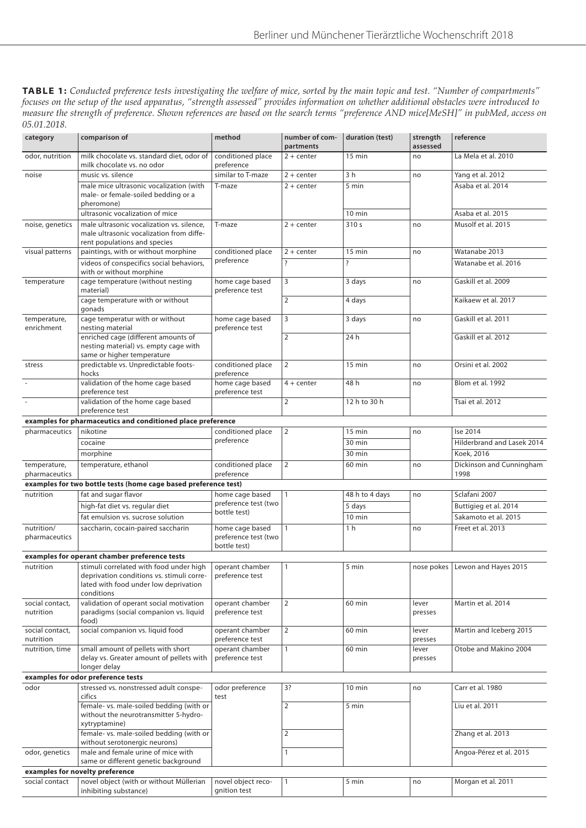**TABLE 1:** *Conducted preference tests investigating the welfare of mice, sorted by the main topic and test. "Number of compartments" focuses on the setup of the used apparatus, "strength assessed" provides information on whether additional obstacles were introduced to measure the strength of preference. Shown references are based on the search terms "preference AND mice[MeSH]" in pubMed, access on 05.01.2018.*

| category                        | comparison of                                                                                                                               | method                                                  | number of com-<br>partments | duration (test)    | strength<br>assessed | reference                         |  |
|---------------------------------|---------------------------------------------------------------------------------------------------------------------------------------------|---------------------------------------------------------|-----------------------------|--------------------|----------------------|-----------------------------------|--|
| odor, nutrition                 | milk chocolate vs. standard diet, odor of<br>milk chocolate vs. no odor                                                                     | conditioned place<br>preference                         | $2 + center$                | $15$ min           | no                   | La Mela et al. 2010               |  |
| noise                           | music vs. silence                                                                                                                           | similar to T-maze                                       | $2 + center$                | 3 <sub>h</sub>     | no                   | Yang et al. 2012                  |  |
|                                 | male mice ultrasonic vocalization (with<br>male- or female-soiled bedding or a<br>pheromone)                                                | T-maze                                                  | $2 + center$                | 5 min              |                      | Asaba et al. 2014                 |  |
|                                 | ultrasonic vocalization of mice                                                                                                             |                                                         |                             | 10 min             |                      | Asaba et al. 2015                 |  |
| noise, genetics                 | male ultrasonic vocalization vs. silence,<br>male ultrasonic vocalization from diffe-<br>rent populations and species                       | T-maze                                                  | $2 + center$                | 310 s              | no                   | Musolf et al. 2015                |  |
| visual patterns                 | paintings, with or without morphine                                                                                                         | conditioned place                                       | $2 + center$                | 15 min             | no                   | Watanabe 2013                     |  |
|                                 | videos of conspecifics social behaviors,<br>with or without morphine                                                                        | preference                                              | $\overline{\phantom{a}}$    | $\overline{\cdot}$ |                      | Watanabe et al. 2016              |  |
| temperature                     | cage temperature (without nesting<br>material)                                                                                              | home cage based<br>preference test                      | 3                           | 3 days             | no                   | Gaskill et al. 2009               |  |
|                                 | cage temperature with or without<br>gonads                                                                                                  |                                                         | $\overline{2}$              | 4 days             |                      | Kaikaew et al. 2017               |  |
| temperature,<br>enrichment      | cage temperatur with or without<br>nesting material                                                                                         | home cage based<br>preference test                      | 3                           | 3 days             | no                   | Gaskill et al. 2011               |  |
|                                 | enriched cage (different amounts of<br>nesting material) vs. empty cage with<br>same or higher temperature                                  |                                                         | $\overline{2}$              | 24 h               |                      | Gaskill et al. 2012               |  |
| stress                          | predictable vs. Unpredictable foots-<br>hocks                                                                                               | conditioned place<br>preference                         | 2                           | $15$ min           | no                   | Orsini et al. 2002                |  |
|                                 | validation of the home cage based<br>preference test                                                                                        | home cage based<br>preference test                      | $4 + center$                | 48 h               | no                   | Blom et al. 1992                  |  |
|                                 | validation of the home cage based<br>preference test                                                                                        |                                                         | $\overline{2}$              | 12 h to 30 h       |                      | Tsai et al. 2012                  |  |
|                                 | examples for pharmaceutics and conditioned place preference                                                                                 |                                                         |                             |                    |                      |                                   |  |
| pharmaceutics                   | nikotine                                                                                                                                    | conditioned place                                       | $\overline{2}$              | $15$ min           | no                   | Ise 2014                          |  |
|                                 | cocaine                                                                                                                                     | preference                                              |                             | 30 min             |                      | Hilderbrand and Lasek 2014        |  |
|                                 | morphine                                                                                                                                    |                                                         |                             | 30 min             |                      | Koek, 2016                        |  |
| temperature,<br>pharmaceutics   | temperature, ethanol                                                                                                                        | conditioned place<br>preference                         | 2                           | 60 min             | no                   | Dickinson and Cunningham<br>1998  |  |
|                                 | examples for two bottle tests (home cage based preference test)                                                                             |                                                         |                             |                    |                      |                                   |  |
| nutrition                       | fat and sugar flavor                                                                                                                        | home cage based                                         | $\mathbf{1}$                | 48 h to 4 days     | no                   | Sclafani 2007                     |  |
|                                 | high-fat diet vs. regular diet                                                                                                              | preference test (two                                    |                             | 5 days             |                      | Buttigieg et al. 2014             |  |
|                                 | fat emulsion vs. sucrose solution                                                                                                           | bottle test)                                            |                             | $10$ min           |                      | Sakamoto et al. 2015              |  |
| nutrition/<br>pharmaceutics     | saccharin, cocain-paired saccharin                                                                                                          | home cage based<br>preference test (two<br>bottle test) | $\mathbf{1}$                | 1 <sub>h</sub>     | no                   | Freet et al. 2013                 |  |
|                                 | examples for operant chamber preference tests                                                                                               |                                                         |                             |                    |                      |                                   |  |
| nutrition                       | stimuli correlated with food under high<br>deprivation conditions vs. stimuli corre-<br>lated with food under low deprivation<br>conditions | operant chamber<br>preference test                      | $\mathbf{1}$                | 5 min              |                      | nose pokes   Lewon and Hayes 2015 |  |
| social contact.<br>nutrition    | validation of operant social motivation<br>paradigms (social companion vs. liquid<br>food)                                                  | operant chamber<br>preference test                      | $\overline{2}$              | 60 min             | lever<br>presses     | Martin et al. 2014                |  |
| social contact,<br>nutrition    | social companion vs. liquid food                                                                                                            | operant chamber<br>preference test                      | $\overline{2}$              | 60 min             | lever<br>presses     | Martin and Iceberg 2015           |  |
| nutrition, time                 | small amount of pellets with short<br>delay vs. Greater amount of pellets with<br>longer delay                                              | operant chamber<br>preference test                      | $\mathbf{1}$                | 60 min             | lever<br>presses     | Otobe and Makino 2004             |  |
|                                 | examples for odor preference tests                                                                                                          |                                                         |                             |                    |                      |                                   |  |
| odor                            | stressed vs. nonstressed adult conspe-<br>cifics                                                                                            | odor preference<br>test                                 | 3?                          | $10$ min           | no                   | Carr et al. 1980                  |  |
|                                 | female-vs. male-soiled bedding (with or<br>without the neurotransmitter 5-hydro-<br>xytryptamine)                                           |                                                         | $\overline{2}$              | 5 min              |                      | Liu et al. 2011                   |  |
|                                 | female-vs. male-soiled bedding (with or<br>without serotonergic neurons)                                                                    |                                                         | $\overline{2}$              |                    |                      | Zhang et al. 2013                 |  |
| odor, genetics                  | male and female urine of mice with<br>same or different genetic background                                                                  |                                                         | $\mathbf{1}$                |                    |                      | Angoa-Pérez et al. 2015           |  |
| examples for novelty preference |                                                                                                                                             |                                                         |                             |                    |                      |                                   |  |
| social contact                  | novel object (with or without Müllerian                                                                                                     | novel object reco-                                      | $\mathbf{1}$                | 5 min              | no                   | Morgan et al. 2011                |  |
|                                 | inhibiting substance)                                                                                                                       | gnition test                                            |                             |                    |                      |                                   |  |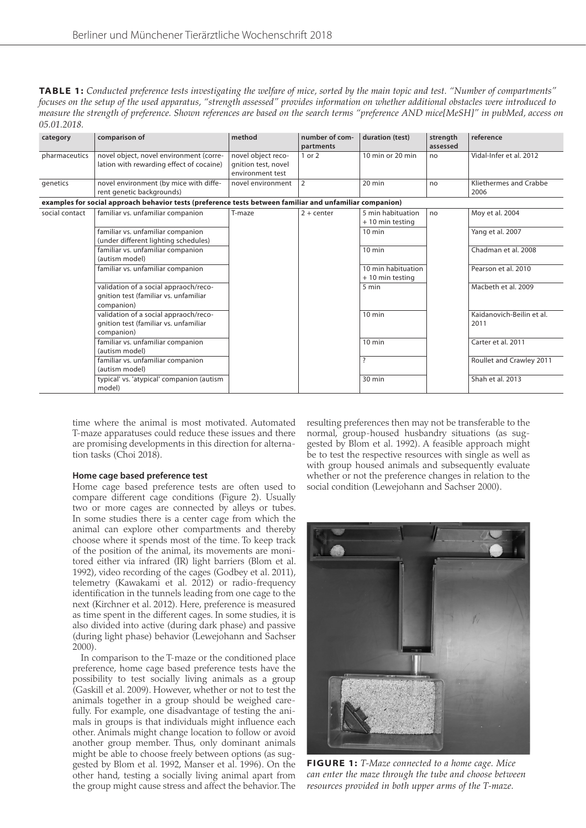| <b>TABLE 1:</b> Conducted preference tests investigating the welfare of mice, sorted by the main topic and test. "Number of compartments" |
|-------------------------------------------------------------------------------------------------------------------------------------------|
| focuses on the setup of the used apparatus, "strength assessed" provides information on whether additional obstacles were introduced to   |
| measure the strength of preference. Shown references are based on the search terms "preference AND mice[MeSH]" in pubMed, access on       |
| 05.01.2018.                                                                                                                               |

| category       | comparison of                                                                                            | method                                                        | number of com-<br>partments | duration (test)                        | strength<br>assessed | reference                         |
|----------------|----------------------------------------------------------------------------------------------------------|---------------------------------------------------------------|-----------------------------|----------------------------------------|----------------------|-----------------------------------|
| pharmaceutics  | novel object, novel environment (corre-<br>lation with rewarding effect of cocaine)                      | novel object reco-<br>gnition test, novel<br>environment test | 1 or 2                      | 10 min or 20 min                       | no                   | Vidal-Infer et al. 2012           |
| genetics       | novel environment (by mice with diffe-<br>rent genetic backgrounds)                                      | novel environment                                             | $\overline{2}$              | $20$ min                               | no                   | Kliethermes and Crabbe<br>2006    |
|                | examples for social approach behavior tests (preference tests between familiar and unfamiliar companion) |                                                               |                             |                                        |                      |                                   |
| social contact | familiar vs. unfamiliar companion                                                                        | T-maze                                                        | $2 + center$                | 5 min habituation<br>+ 10 min testing  | no                   | Moy et al. 2004                   |
|                | familiar vs. unfamiliar companion<br>(under different lighting schedules)                                |                                                               |                             | $10$ min                               |                      | Yang et al. 2007                  |
|                | familiar vs. unfamiliar companion<br>(autism model)                                                      |                                                               |                             | $10$ min                               |                      | Chadman et al. 2008               |
|                | familiar vs. unfamiliar companion                                                                        |                                                               |                             | 10 min habituation<br>+ 10 min testing |                      | Pearson et al. 2010               |
|                | validation of a social appraoch/reco-<br>gnition test (familiar vs. unfamiliar<br>companion)             |                                                               |                             | 5 min                                  |                      | Macbeth et al. 2009               |
|                | validation of a social appraoch/reco-<br>gnition test (familiar vs. unfamiliar<br>companion)             |                                                               |                             | $10 \text{ min}$                       |                      | Kaidanovich-Beilin et al.<br>2011 |
|                | familiar vs. unfamiliar companion<br>(autism model)                                                      |                                                               |                             | $10 \text{ min}$                       |                      | Carter et al. 2011                |
|                | familiar vs. unfamiliar companion<br>(autism model)                                                      |                                                               |                             | $\overline{\phantom{a}}$               |                      | Roullet and Crawley 2011          |
|                | typical' vs. 'atypical' companion (autism<br>model)                                                      |                                                               |                             | 30 min                                 |                      | Shah et al. 2013                  |

time where the animal is most motivated. Automated T-maze apparatuses could reduce these issues and there are promising developments in this direction for alternation tasks (Choi 2018).

#### **Home cage based preference test**

Home cage based preference tests are often used to compare different cage conditions (Figure 2). Usually two or more cages are connected by alleys or tubes. In some studies there is a center cage from which the animal can explore other compartments and thereby choose where it spends most of the time. To keep track of the position of the animal, its movements are monitored either via infrared (IR) light barriers (Blom et al. 1992), video recording of the cages (Godbey et al. 2011), telemetry (Kawakami et al. 2012) or radio-frequency identification in the tunnels leading from one cage to the next (Kirchner et al. 2012). Here, preference is measured as time spent in the different cages. In some studies, it is also divided into active (during dark phase) and passive (during light phase) behavior (Lewejohann and Sachser 2000).

In comparison to the T-maze or the conditioned place preference, home cage based preference tests have the possibility to test socially living animals as a group (Gaskill et al. 2009). However, whether or not to test the animals together in a group should be weighed carefully. For example, one disadvantage of testing the animals in groups is that individuals might influence each other. Animals might change location to follow or avoid another group member. Thus, only dominant animals might be able to choose freely between options (as suggested by Blom et al. 1992, Manser et al. 1996). On the other hand, testing a socially living animal apart from the group might cause stress and affect the behavior. The

resulting preferences then may not be transferable to the normal, group-housed husbandry situations (as suggested by Blom et al. 1992). A feasible approach might be to test the respective resources with single as well as with group housed animals and subsequently evaluate whether or not the preference changes in relation to the social condition (Lewejohann and Sachser 2000).



**FIGURE 1:** *T-Maze connected to a home cage. Mice can enter the maze through the tube and choose between resources provided in both upper arms of the T-maze.*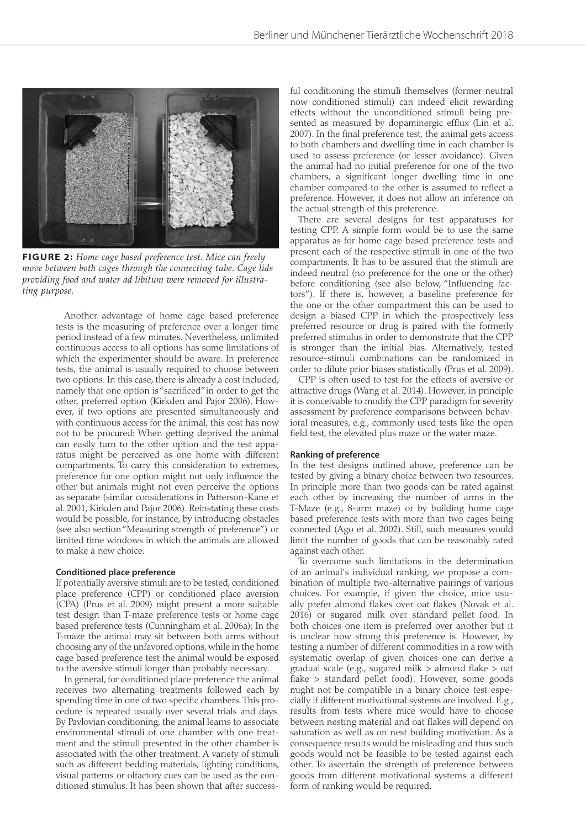

**FIGURE 2:** *Home cage based preference test. Mice can freely move between both cages through the connecting tube. Cage lids providing food and water ad libitum were removed for illustrating purpose.*

Another advantage of home cage based preference tests is the measuring of preference over a longer time period instead of a few minutes. Nevertheless, unlimited continuous access to all options has some limitations of which the experimenter should be aware. In preference tests, the animal is usually required to choose between two options. In this case, there is already a cost included, namely that one option is "sacrificed" in order to get the other, preferred option (Kirkden and Pajor 2006). However, if two options are presented simultaneously and with continuous access for the animal, this cost has now not to be procured: When getting deprived the animal can easily turn to the other option and the test apparatus might be perceived as one home with different compartments. To carry this consideration to extremes, preference for one option might not only influence the other but animals might not even perceive the options as separate (similar considerations in Patterson-Kane et al. 2001, Kirkden and Pajor 2006). Reinstating these costs would be possible, for instance, by introducing obstacles (see also section "Measuring strength of preference") or limited time windows in which the animals are allowed to make a new choice.

#### **Conditioned place preference**

If potentially aversive stimuli are to be tested, conditioned place preference (CPP) or conditioned place aversion (CPA) (Prus et al. 2009) might present a more suitable test design than T-maze preference tests or home cage based preference tests (Cunningham et al. 2006a): In the T-maze the animal may sit between both arms without choosing any of the unfavored options, while in the home cage based preference test the animal would be exposed to the aversive stimuli longer than probably necessary.

In general, for conditioned place preference the animal receives two alternating treatments followed each by spending time in one of two specific chambers. This procedure is repeated usually over several trials and days. By Pavlovian conditioning, the animal learns to associate environmental stimuli of one chamber with one treatment and the stimuli presented in the other chamber is associated with the other treatment. A variety of stimuli such as different bedding materials, lighting conditions, visual patterns or olfactory cues can be used as the conditioned stimulus. It has been shown that after successful conditioning the stimuli themselves (former neutral now conditioned stimuli) can indeed elicit rewarding effects without the unconditioned stimuli being presented as measured by dopaminergic efflux (Lin et al. 2007). In the final preference test, the animal gets access to both chambers and dwelling time in each chamber is used to assess preference (or lesser avoidance). Given the animal had no initial preference for one of the two chambers, a significant longer dwelling time in one chamber compared to the other is assumed to reflect a preference. However, it does not allow an inference on the actual strength of this preference.

There are several designs for test apparatuses for testing CPP. A simple form would be to use the same apparatus as for home cage based preference tests and present each of the respective stimuli in one of the two compartments. It has to be assured that the stimuli are indeed neutral (no preference for the one or the other) before conditioning (see also below, "Influencing factors"). If there is, however, a baseline preference for the one or the other compartment this can be used to design a biased CPP in which the prospectively less preferred resource or drug is paired with the formerly preferred stimulus in order to demonstrate that the CPP is stronger than the initial bias. Alternatively, tested resource-stimuli combinations can be randomized in order to dilute prior biases statistically (Prus et al. 2009).

CPP is often used to test for the effects of aversive or attractive drugs (Wang et al. 2014). However, in principle it is conceivable to modify the CPP paradigm for severity assessment by preference comparisons between behavioral measures, e.g., commonly used tests like the open field test, the elevated plus maze or the water maze.

#### **Ranking of preference**

In the test designs outlined above, preference can be tested by giving a binary choice between two resources. In principle more than two goods can be rated against each other by increasing the number of arms in the T-Maze (e.g., 8-arm maze) or by building home cage based preference tests with more than two cages being connected (Ago et al. 2002). Still, such measures would limit the number of goods that can be reasonably rated against each other.

To overcome such limitations in the determination of an animal's individual ranking, we propose a combination of multiple two-alternative pairings of various choices. For example, if given the choice, mice usually prefer almond flakes over oat flakes (Novak et al. 2016) or sugared milk over standard pellet food. In both choices one item is preferred over another but it is unclear how strong this preference is. However, by testing a number of different commodities in a row with systematic overlap of given choices one can derive a gradual scale (e.g., sugared milk > almond flake > oat flake > standard pellet food). However, some goods might not be compatible in a binary choice test especially if different motivational systems are involved. E.g., results from tests where mice would have to choose between nesting material and oat flakes will depend on saturation as well as on nest building motivation. As a consequence results would be misleading and thus such goods would not be feasible to be tested against each other. To ascertain the strength of preference between goods from different motivational systems a different form of ranking would be required.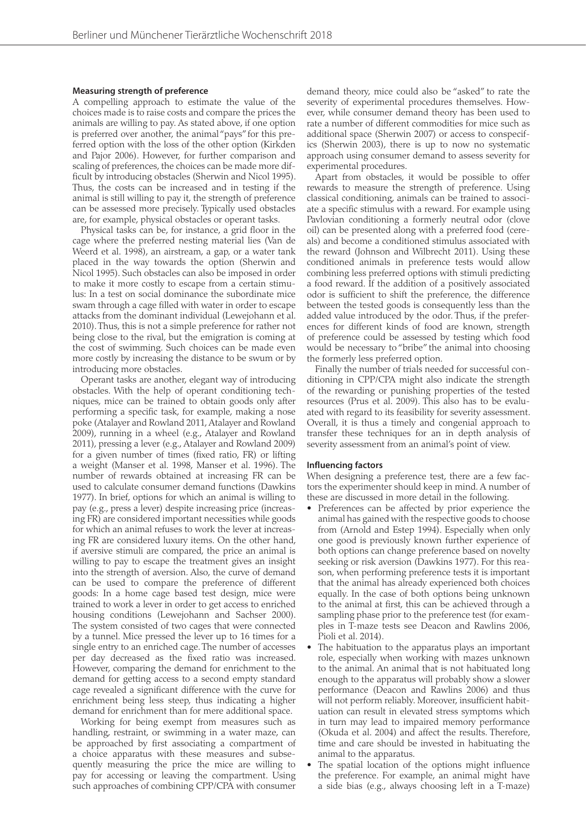#### **Measuring strength of preference**

A compelling approach to estimate the value of the choices made is to raise costs and compare the prices the animals are willing to pay. As stated above, if one option is preferred over another, the animal "pays" for this preferred option with the loss of the other option (Kirkden and Pajor 2006). However, for further comparison and scaling of preferences, the choices can be made more difficult by introducing obstacles (Sherwin and Nicol 1995). Thus, the costs can be increased and in testing if the animal is still willing to pay it, the strength of preference can be assessed more precisely. Typically used obstacles are, for example, physical obstacles or operant tasks.

Physical tasks can be, for instance, a grid floor in the cage where the preferred nesting material lies (Van de Weerd et al. 1998), an airstream, a gap, or a water tank placed in the way towards the option (Sherwin and Nicol 1995). Such obstacles can also be imposed in order to make it more costly to escape from a certain stimulus: In a test on social dominance the subordinate mice swam through a cage filled with water in order to escape attacks from the dominant individual (Lewejohann et al. 2010). Thus, this is not a simple preference for rather not being close to the rival, but the emigration is coming at the cost of swimming. Such choices can be made even more costly by increasing the distance to be swum or by introducing more obstacles.

Operant tasks are another, elegant way of introducing obstacles. With the help of operant conditioning techniques, mice can be trained to obtain goods only after performing a specific task, for example, making a nose poke (Atalayer and Rowland 2011, Atalayer and Rowland 2009), running in a wheel (e.g., Atalayer and Rowland 2011), pressing a lever (e.g., Atalayer and Rowland 2009) for a given number of times (fixed ratio, FR) or lifting a weight (Manser et al. 1998, Manser et al. 1996). The number of rewards obtained at increasing FR can be used to calculate consumer demand functions (Dawkins 1977). In brief, options for which an animal is willing to pay (e.g., press a lever) despite increasing price (increasing FR) are considered important necessities while goods for which an animal refuses to work the lever at increasing FR are considered luxury items. On the other hand, if aversive stimuli are compared, the price an animal is willing to pay to escape the treatment gives an insight into the strength of aversion. Also, the curve of demand can be used to compare the preference of different goods: In a home cage based test design, mice were trained to work a lever in order to get access to enriched housing conditions (Lewejohann and Sachser 2000). The system consisted of two cages that were connected by a tunnel. Mice pressed the lever up to 16 times for a single entry to an enriched cage. The number of accesses per day decreased as the fixed ratio was increased. However, comparing the demand for enrichment to the demand for getting access to a second empty standard cage revealed a significant difference with the curve for enrichment being less steep, thus indicating a higher demand for enrichment than for mere additional space.

Working for being exempt from measures such as handling, restraint, or swimming in a water maze, can be approached by first associating a compartment of a choice apparatus with these measures and subsequently measuring the price the mice are willing to pay for accessing or leaving the compartment. Using such approaches of combining CPP/CPA with consumer

demand theory, mice could also be "asked" to rate the severity of experimental procedures themselves. However, while consumer demand theory has been used to rate a number of different commodities for mice such as additional space (Sherwin 2007) or access to conspecifics (Sherwin 2003), there is up to now no systematic approach using consumer demand to assess severity for experimental procedures.

Apart from obstacles, it would be possible to offer rewards to measure the strength of preference. Using classical conditioning, animals can be trained to associate a specific stimulus with a reward. For example using Pavlovian conditioning a formerly neutral odor (clove oil) can be presented along with a preferred food (cereals) and become a conditioned stimulus associated with the reward (Johnson and Wilbrecht 2011). Using these conditioned animals in preference tests would allow combining less preferred options with stimuli predicting a food reward. If the addition of a positively associated odor is sufficient to shift the preference, the difference between the tested goods is consequently less than the added value introduced by the odor. Thus, if the preferences for different kinds of food are known, strength of preference could be assessed by testing which food would be necessary to "bribe" the animal into choosing the formerly less preferred option.

Finally the number of trials needed for successful conditioning in CPP/CPA might also indicate the strength of the rewarding or punishing properties of the tested resources (Prus et al. 2009). This also has to be evaluated with regard to its feasibility for severity assessment. Overall, it is thus a timely and congenial approach to transfer these techniques for an in depth analysis of severity assessment from an animal's point of view.

#### **Influencing factors**

When designing a preference test, there are a few factors the experimenter should keep in mind. A number of these are discussed in more detail in the following.

- Preferences can be affected by prior experience the animal has gained with the respective goods to choose from (Arnold and Estep 1994). Especially when only one good is previously known further experience of both options can change preference based on novelty seeking or risk aversion (Dawkins 1977). For this reason, when performing preference tests it is important that the animal has already experienced both choices equally. In the case of both options being unknown to the animal at first, this can be achieved through a sampling phase prior to the preference test (for examples in T-maze tests see Deacon and Rawlins 2006, Pioli et al. 2014).
- The habituation to the apparatus plays an important role, especially when working with mazes unknown to the animal. An animal that is not habituated long enough to the apparatus will probably show a slower performance (Deacon and Rawlins 2006) and thus will not perform reliably. Moreover, insufficient habituation can result in elevated stress symptoms which in turn may lead to impaired memory performance (Okuda et al. 2004) and affect the results. Therefore, time and care should be invested in habituating the animal to the apparatus.
- The spatial location of the options might influence the preference. For example, an animal might have a side bias (e.g., always choosing left in a T-maze)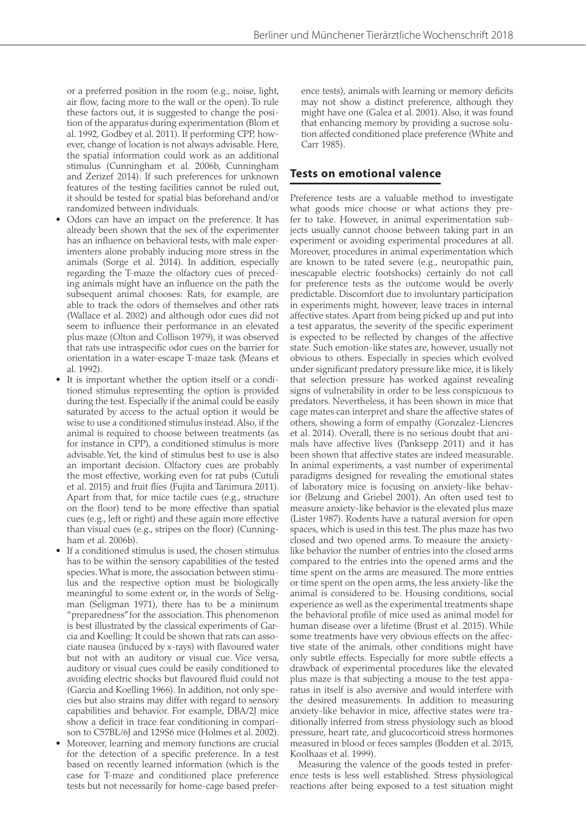or a preferred position in the room (e.g., noise, light, air flow, facing more to the wall or the open). To rule these factors out, it is suggested to change the position of the apparatus during experimentation (Blom et al. 1992, Godbey et al. 2011). If performing CPP, however, change of location is not always advisable. Here, the spatial information could work as an additional stimulus (Cunningham et al. 2006b, Cunningham and Zerizef 2014). If such preferences for unknown features of the testing facilities cannot be ruled out, it should be tested for spatial bias beforehand and/or randomized between individuals.

- Odors can have an impact on the preference. It has already been shown that the sex of the experimenter has an influence on behavioral tests, with male experimenters alone probably inducing more stress in the animals (Sorge et al. 2014). In addition, especially regarding the T-maze the olfactory cues of preceding animals might have an influence on the path the subsequent animal chooses: Rats, for example, are able to track the odors of themselves and other rats (Wallace et al. 2002) and although odor cues did not seem to influence their performance in an elevated plus maze (Olton and Collison 1979), it was observed that rats use intraspecific odor cues on the barrier for orientation in a water-escape T-maze task (Means et al. 1992).
- It is important whether the option itself or a conditioned stimulus representing the option is provided during the test. Especially if the animal could be easily saturated by access to the actual option it would be wise to use a conditioned stimulus instead. Also, if the animal is required to choose between treatments (as for instance in CPP), a conditioned stimulus is more advisable. Yet, the kind of stimulus best to use is also an important decision. Olfactory cues are probably the most effective, working even for rat pubs (Cutuli et al. 2015) and fruit flies (Fujita and Tanimura 2011). Apart from that, for mice tactile cues (e.g., structure on the floor) tend to be more effective than spatial cues (e.g., left or right) and these again more effective than visual cues (e.g., stripes on the floor) (Cunningham et al. 2006b).
- If a conditioned stimulus is used, the chosen stimulus has to be within the sensory capabilities of the tested species. What is more, the association between stimulus and the respective option must be biologically meaningful to some extent or, in the words of Seligman (Seligman 1971), there has to be a minimum "preparedness" for the association. This phenomenon is best illustrated by the classical experiments of Garcia and Koelling: It could be shown that rats can associate nausea (induced by x-rays) with flavoured water but not with an auditory or visual cue. Vice versa, auditory or visual cues could be easily conditioned to avoiding electric shocks but flavoured fluid could not (Garcia and Koelling 1966). In addition, not only species but also strains may differ with regard to sensory capabilities and behavior. For example, DBA/2J mice show a deficit in trace fear conditioning in comparison to C57BL/6J and 129S6 mice (Holmes et al. 2002).
- Moreover, learning and memory functions are crucial for the detection of a specific preference. In a test based on recently learned information (which is the case for T-maze and conditioned place preference tests but not necessarily for home-cage based prefer-

ence tests), animals with learning or memory deficits may not show a distinct preference, although they might have one (Galea et al. 2001). Also, it was found that enhancing memory by providing a sucrose solution affected conditioned place preference (White and Carr 1985).

### **Tests on emotional valence**

Preference tests are a valuable method to investigate what goods mice choose or what actions they prefer to take. However, in animal experimentation subjects usually cannot choose between taking part in an experiment or avoiding experimental procedures at all. Moreover, procedures in animal experimentation which are known to be rated severe (e.g., neuropathic pain, inescapable electric footshocks) certainly do not call for preference tests as the outcome would be overly predictable. Discomfort due to involuntary participation in experiments might, however, leave traces in internal affective states. Apart from being picked up and put into a test apparatus, the severity of the specific experiment is expected to be reflected by changes of the affective state. Such emotion-like states are, however, usually not obvious to others. Especially in species which evolved under significant predatory pressure like mice, it is likely that selection pressure has worked against revealing signs of vulnerability in order to be less conspicuous to predators. Nevertheless, it has been shown in mice that cage mates can interpret and share the affective states of others, showing a form of empathy (Gonzalez-Liencres et al. 2014). Overall, there is no serious doubt that animals have affective lives (Panksepp 2011) and it has been shown that affective states are indeed measurable. In animal experiments, a vast number of experimental paradigms designed for revealing the emotional states of laboratory mice is focusing on anxiety-like behavior (Belzung and Griebel 2001). An often used test to measure anxiety-like behavior is the elevated plus maze (Lister 1987). Rodents have a natural aversion for open spaces, which is used in this test. The plus maze has two closed and two opened arms. To measure the anxietylike behavior the number of entries into the closed arms compared to the entries into the opened arms and the time spent on the arms are measured. The more entries or time spent on the open arms, the less anxiety-like the animal is considered to be. Housing conditions, social experience as well as the experimental treatments shape the behavioral profile of mice used as animal model for human disease over a lifetime (Brust et al. 2015). While some treatments have very obvious effects on the affective state of the animals, other conditions might have only subtle effects. Especially for more subtle effects a drawback of experimental procedures like the elevated plus maze is that subjecting a mouse to the test apparatus in itself is also aversive and would interfere with the desired measurements. In addition to measuring anxiety-like behavior in mice, affective states were traditionally inferred from stress physiology such as blood pressure, heart rate, and glucocorticoid stress hormones measured in blood or feces samples (Bodden et al. 2015, Koolhaas et al. 1999).

Measuring the valence of the goods tested in preference tests is less well established. Stress physiological reactions after being exposed to a test situation might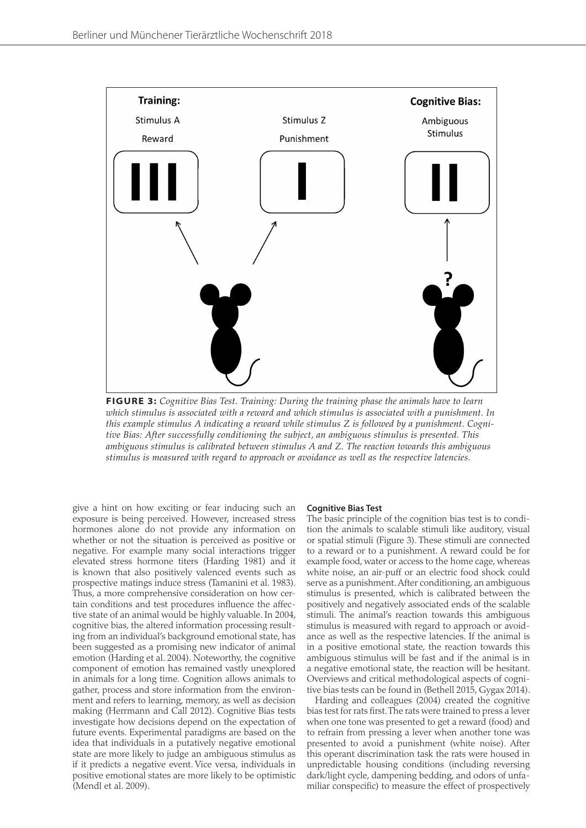

**FIGURE 3:** *Cognitive Bias Test. Training: During the training phase the animals have to learn which stimulus is associated with a reward and which stimulus is associated with a punishment. In this example stimulus A indicating a reward while stimulus Z is followed by a punishment. Cognitive Bias: After successfully conditioning the subject, an ambiguous stimulus is presented. This ambiguous stimulus is calibrated between stimulus A and Z. The reaction towards this ambiguous stimulus is measured with regard to approach or avoidance as well as the respective latencies.*

give a hint on how exciting or fear inducing such an exposure is being perceived. However, increased stress hormones alone do not provide any information on whether or not the situation is perceived as positive or negative. For example many social interactions trigger elevated stress hormone titers (Harding 1981) and it is known that also positively valenced events such as prospective matings induce stress (Tamanini et al. 1983). Thus, a more comprehensive consideration on how certain conditions and test procedures influence the affective state of an animal would be highly valuable. In 2004, cognitive bias, the altered information processing resulting from an individual's background emotional state, has been suggested as a promising new indicator of animal emotion (Harding et al. 2004). Noteworthy, the cognitive component of emotion has remained vastly unexplored in animals for a long time. Cognition allows animals to gather, process and store information from the environment and refers to learning, memory, as well as decision making (Herrmann and Call 2012). Cognitive Bias tests investigate how decisions depend on the expectation of future events. Experimental paradigms are based on the idea that individuals in a putatively negative emotional state are more likely to judge an ambiguous stimulus as if it predicts a negative event. Vice versa, individuals in positive emotional states are more likely to be optimistic (Mendl et al. 2009).

#### **Cognitive Bias Test**

The basic principle of the cognition bias test is to condition the animals to scalable stimuli like auditory, visual or spatial stimuli (Figure 3). These stimuli are connected to a reward or to a punishment. A reward could be for example food, water or access to the home cage, whereas white noise, an air-puff or an electric food shock could serve as a punishment. After conditioning, an ambiguous stimulus is presented, which is calibrated between the positively and negatively associated ends of the scalable stimuli. The animal's reaction towards this ambiguous stimulus is measured with regard to approach or avoidance as well as the respective latencies. If the animal is in a positive emotional state, the reaction towards this ambiguous stimulus will be fast and if the animal is in a negative emotional state, the reaction will be hesitant. Overviews and critical methodological aspects of cognitive bias tests can be found in (Bethell 2015, Gygax 2014).

Harding and colleagues (2004) created the cognitive bias test for rats first. The rats were trained to press a lever when one tone was presented to get a reward (food) and to refrain from pressing a lever when another tone was presented to avoid a punishment (white noise). After this operant discrimination task the rats were housed in unpredictable housing conditions (including reversing dark/light cycle, dampening bedding, and odors of unfamiliar conspecific) to measure the effect of prospectively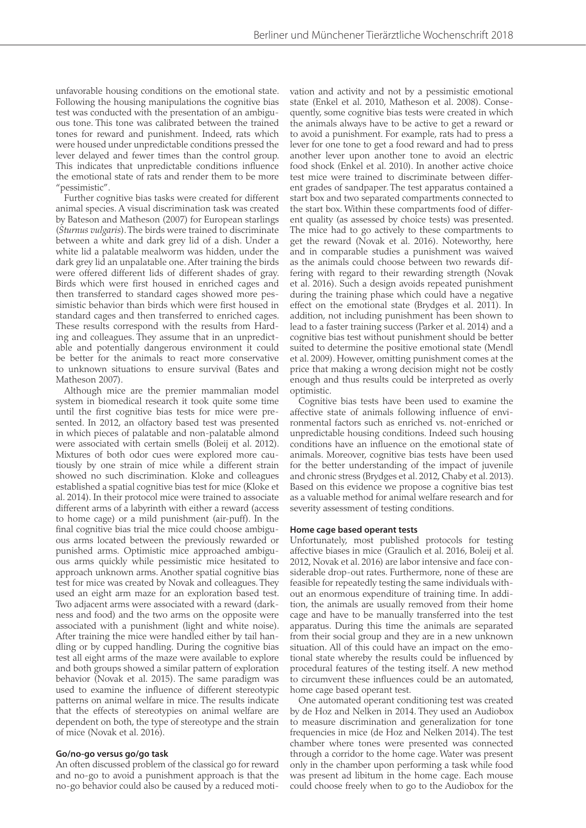unfavorable housing conditions on the emotional state. Following the housing manipulations the cognitive bias test was conducted with the presentation of an ambiguous tone. This tone was calibrated between the trained tones for reward and punishment. Indeed, rats which were housed under unpredictable conditions pressed the lever delayed and fewer times than the control group. This indicates that unpredictable conditions influence the emotional state of rats and render them to be more "pessimistic".

Further cognitive bias tasks were created for different animal species. A visual discrimination task was created by Bateson and Matheson (2007) for European starlings (*Sturnus vulgaris*). The birds were trained to discriminate between a white and dark grey lid of a dish. Under a white lid a palatable mealworm was hidden, under the dark grey lid an unpalatable one. After training the birds were offered different lids of different shades of gray. Birds which were first housed in enriched cages and then transferred to standard cages showed more pessimistic behavior than birds which were first housed in standard cages and then transferred to enriched cages. These results correspond with the results from Harding and colleagues. They assume that in an unpredictable and potentially dangerous environment it could be better for the animals to react more conservative to unknown situations to ensure survival (Bates and Matheson 2007).

Although mice are the premier mammalian model system in biomedical research it took quite some time until the first cognitive bias tests for mice were presented. In 2012, an olfactory based test was presented in which pieces of palatable and non-palatable almond were associated with certain smells (Boleij et al. 2012). Mixtures of both odor cues were explored more cautiously by one strain of mice while a different strain showed no such discrimination. Kloke and colleagues established a spatial cognitive bias test for mice (Kloke et al. 2014). In their protocol mice were trained to associate different arms of a labyrinth with either a reward (access to home cage) or a mild punishment (air-puff). In the final cognitive bias trial the mice could choose ambiguous arms located between the previously rewarded or punished arms. Optimistic mice approached ambiguous arms quickly while pessimistic mice hesitated to approach unknown arms. Another spatial cognitive bias test for mice was created by Novak and colleagues. They used an eight arm maze for an exploration based test. Two adjacent arms were associated with a reward (darkness and food) and the two arms on the opposite were associated with a punishment (light and white noise). After training the mice were handled either by tail handling or by cupped handling. During the cognitive bias test all eight arms of the maze were available to explore and both groups showed a similar pattern of exploration behavior (Novak et al. 2015). The same paradigm was used to examine the influence of different stereotypic patterns on animal welfare in mice. The results indicate that the effects of stereotypies on animal welfare are dependent on both, the type of stereotype and the strain of mice (Novak et al. 2016).

#### **Go/no-go versus go/go task**

An often discussed problem of the classical go for reward and no-go to avoid a punishment approach is that the no-go behavior could also be caused by a reduced motivation and activity and not by a pessimistic emotional state (Enkel et al. 2010, Matheson et al. 2008). Consequently, some cognitive bias tests were created in which the animals always have to be active to get a reward or to avoid a punishment. For example, rats had to press a lever for one tone to get a food reward and had to press another lever upon another tone to avoid an electric food shock (Enkel et al. 2010). In another active choice test mice were trained to discriminate between different grades of sandpaper. The test apparatus contained a start box and two separated compartments connected to the start box. Within these compartments food of different quality (as assessed by choice tests) was presented. The mice had to go actively to these compartments to get the reward (Novak et al. 2016). Noteworthy, here and in comparable studies a punishment was waived as the animals could choose between two rewards differing with regard to their rewarding strength (Novak et al. 2016). Such a design avoids repeated punishment during the training phase which could have a negative effect on the emotional state (Brydges et al. 2011). In addition, not including punishment has been shown to lead to a faster training success (Parker et al. 2014) and a cognitive bias test without punishment should be better suited to determine the positive emotional state (Mendl et al. 2009). However, omitting punishment comes at the price that making a wrong decision might not be costly enough and thus results could be interpreted as overly optimistic.

Cognitive bias tests have been used to examine the affective state of animals following influence of environmental factors such as enriched vs. not-enriched or unpredictable housing conditions. Indeed such housing conditions have an influence on the emotional state of animals. Moreover, cognitive bias tests have been used for the better understanding of the impact of juvenile and chronic stress (Brydges et al. 2012, Chaby et al. 2013). Based on this evidence we propose a cognitive bias test as a valuable method for animal welfare research and for severity assessment of testing conditions.

#### **Home cage based operant tests**

Unfortunately, most published protocols for testing affective biases in mice (Graulich et al. 2016, Boleij et al. 2012, Novak et al. 2016) are labor intensive and face considerable drop-out rates. Furthermore, none of these are feasible for repeatedly testing the same individuals without an enormous expenditure of training time. In addition, the animals are usually removed from their home cage and have to be manually transferred into the test apparatus. During this time the animals are separated from their social group and they are in a new unknown situation. All of this could have an impact on the emotional state whereby the results could be influenced by procedural features of the testing itself. A new method to circumvent these influences could be an automated, home cage based operant test.

One automated operant conditioning test was created by de Hoz and Nelken in 2014. They used an Audiobox to measure discrimination and generalization for tone frequencies in mice (de Hoz and Nelken 2014). The test chamber where tones were presented was connected through a corridor to the home cage. Water was present only in the chamber upon performing a task while food was present ad libitum in the home cage. Each mouse could choose freely when to go to the Audiobox for the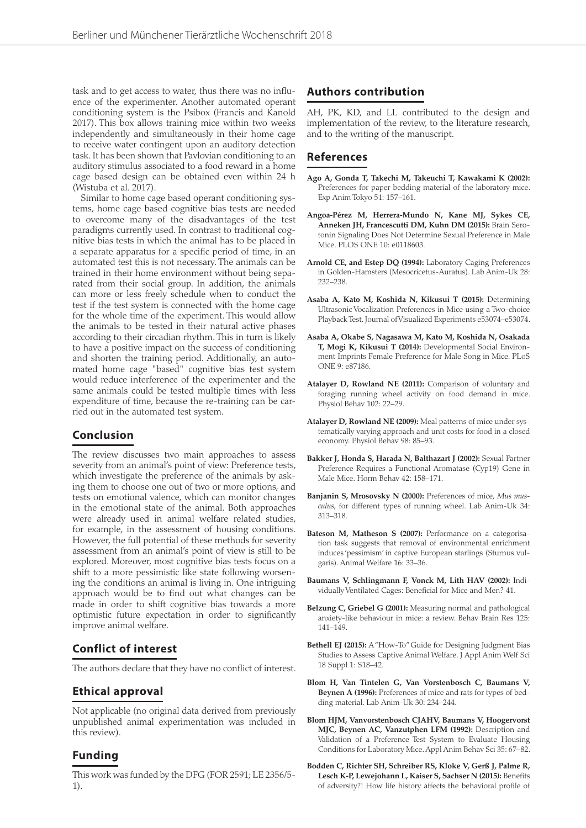task and to get access to water, thus there was no influence of the experimenter. Another automated operant conditioning system is the Psibox (Francis and Kanold 2017). This box allows training mice within two weeks independently and simultaneously in their home cage to receive water contingent upon an auditory detection task. It has been shown that Pavlovian conditioning to an auditory stimulus associated to a food reward in a home cage based design can be obtained even within 24 h (Wistuba et al. 2017).

Similar to home cage based operant conditioning systems, home cage based cognitive bias tests are needed to overcome many of the disadvantages of the test paradigms currently used. In contrast to traditional cognitive bias tests in which the animal has to be placed in a separate apparatus for a specific period of time, in an automated test this is not necessary. The animals can be trained in their home environment without being separated from their social group. In addition, the animals can more or less freely schedule when to conduct the test if the test system is connected with the home cage for the whole time of the experiment. This would allow the animals to be tested in their natural active phases according to their circadian rhythm. This in turn is likely to have a positive impact on the success of conditioning and shorten the training period. Additionally, an automated home cage "based" cognitive bias test system would reduce interference of the experimenter and the same animals could be tested multiple times with less expenditure of time, because the re-training can be carried out in the automated test system.

## **Conclusion**

The review discusses two main approaches to assess severity from an animal's point of view: Preference tests, which investigate the preference of the animals by asking them to choose one out of two or more options, and tests on emotional valence, which can monitor changes in the emotional state of the animal. Both approaches were already used in animal welfare related studies, for example, in the assessment of housing conditions. However, the full potential of these methods for severity assessment from an animal's point of view is still to be explored. Moreover, most cognitive bias tests focus on a shift to a more pessimistic like state following worsening the conditions an animal is living in. One intriguing approach would be to find out what changes can be made in order to shift cognitive bias towards a more optimistic future expectation in order to significantly improve animal welfare.

# **Conflict of interest**

The authors declare that they have no conflict of interest.

## **Ethical approval**

Not applicable (no original data derived from previously unpublished animal experimentation was included in this review).

# **Funding**

This work was funded by the DFG (FOR 2591; LE 2356/5- 1).

# **Authors contribution**

AH, PK, KD, and LL contributed to the design and implementation of the review, to the literature research, and to the writing of the manuscript.

# **References**

- **Ago A, Gonda T, Takechi M, Takeuchi T, Kawakami K (2002):** Preferences for paper bedding material of the laboratory mice. Exp Anim Tokyo 51: 157–161.
- **Angoa-Pérez M, Herrera-Mundo N, Kane MJ, Sykes CE, Anneken JH, Francescutti DM, Kuhn DM (2015):** Brain Serotonin Signaling Does Not Determine Sexual Preference in Male Mice. PLOS ONE 10: e0118603.
- **Arnold CE, and Estep DQ (1994):** Laboratory Caging Preferences in Golden-Hamsters (Mesocricetus-Auratus). Lab Anim-Uk 28: 232–238.
- **Asaba A, Kato M, Koshida N, Kikusui T (2015):** Determining Ultrasonic Vocalization Preferences in Mice using a Two-choice Playback Test. Journal of Visualized Experiments e53074–e53074.
- **Asaba A, Okabe S, Nagasawa M, Kato M, Koshida N, Osakada T, Mogi K, Kikusui T (2014):** Developmental Social Environment Imprints Female Preference for Male Song in Mice. PLoS ONE 9: e87186.
- **Atalayer D, Rowland NE (2011):** Comparison of voluntary and foraging running wheel activity on food demand in mice. Physiol Behav 102: 22–29.
- **Atalayer D, Rowland NE (2009):** Meal patterns of mice under systematically varying approach and unit costs for food in a closed economy. Physiol Behav 98: 85–93.
- **Bakker J, Honda S, Harada N, Balthazart J (2002):** Sexual Partner Preference Requires a Functional Aromatase (Cyp19) Gene in Male Mice. Horm Behav 42: 158–171.
- **Banjanin S, Mrosovsky N (2000):** Preferences of mice, *Mus musculus*, for different types of running wheel. Lab Anim-Uk 34: 313–318.
- Bateson M, Matheson S (2007): Performance on a categorisation task suggests that removal of environmental enrichment induces 'pessimism' in captive European starlings (Sturnus vulgaris). Animal Welfare 16: 33–36.
- **Baumans V, Schlingmann F, Vonck M, Lith HAV (2002):** Individually Ventilated Cages: Beneficial for Mice and Men? 41.
- **Belzung C, Griebel G (2001):** Measuring normal and pathological anxiety-like behaviour in mice: a review. Behav Brain Res 125: 141–149.
- **Bethell EJ (2015):** A "How-To" Guide for Designing Judgment Bias Studies to Assess Captive Animal Welfare. J Appl Anim Welf Sci 18 Suppl 1: S18–42.
- **Blom H, Van Tintelen G, Van Vorstenbosch C, Baumans V, Beynen A (1996):** Preferences of mice and rats for types of bedding material. Lab Anim-Uk 30: 234–244.
- **Blom HJM, Vanvorstenbosch CJAHV, Baumans V, Hoogervorst MJC, Beynen AC, Vanzutphen LFM (1992):** Description and Validation of a Preference Test System to Evaluate Housing Conditions for Laboratory Mice. Appl Anim Behav Sci 35: 67–82.
- **Bodden C, Richter SH, Schreiber RS, Kloke V, Gerß J, Palme R, Lesch K-P, Lewejohann L, Kaiser S, Sachser N (2015):** Benefits of adversity?! How life history affects the behavioral profile of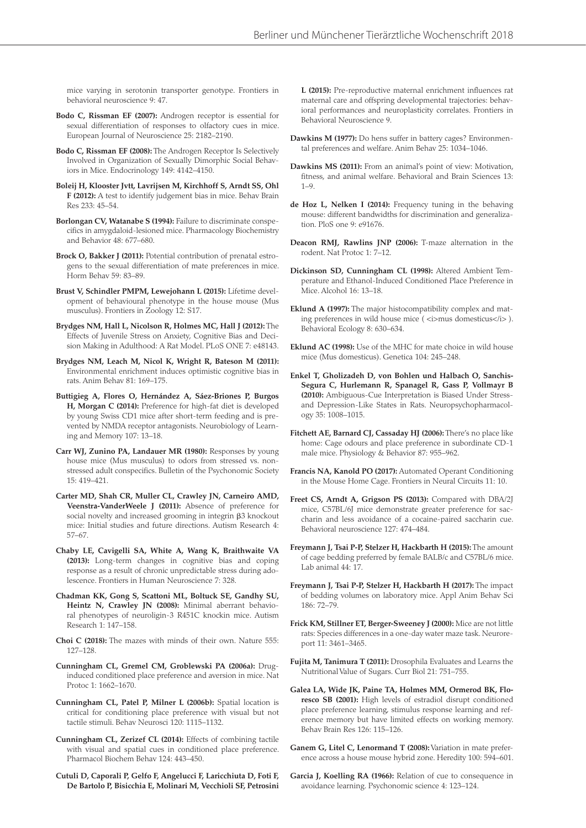mice varying in serotonin transporter genotype. Frontiers in behavioral neuroscience 9: 47.

- **Bodo C, Rissman EF (2007):** Androgen receptor is essential for sexual differentiation of responses to olfactory cues in mice. European Journal of Neuroscience 25: 2182–2190.
- **Bodo C, Rissman EF (2008):** The Androgen Receptor Is Selectively Involved in Organization of Sexually Dimorphic Social Behaviors in Mice. Endocrinology 149: 4142–4150.
- **Boleij H, Klooster Jvtt, Lavrijsen M, Kirchhoff S, Arndt SS, Ohl F (2012):** A test to identify judgement bias in mice. Behav Brain Res 233: 45–54.
- **Borlongan CV, Watanabe S (1994):** Failure to discriminate conspecifics in amygdaloid-lesioned mice. Pharmacology Biochemistry and Behavior 48: 677–680.
- **Brock O, Bakker J (2011):** Potential contribution of prenatal estrogens to the sexual differentiation of mate preferences in mice. Horm Behav 59: 83–89.
- **Brust V, Schindler PMPM, Lewejohann L (2015):** Lifetime development of behavioural phenotype in the house mouse (Mus musculus). Frontiers in Zoology 12: S17.
- **Brydges NM, Hall L, Nicolson R, Holmes MC, Hall J (2012):** The Effects of Juvenile Stress on Anxiety, Cognitive Bias and Decision Making in Adulthood: A Rat Model. PLoS ONE 7: e48143.
- **Brydges NM, Leach M, Nicol K, Wright R, Bateson M (2011):** Environmental enrichment induces optimistic cognitive bias in rats. Anim Behav 81: 169–175.
- **Buttigieg A, Flores O, Hernández A, Sáez-Briones P, Burgos H, Morgan C (2014):** Preference for high-fat diet is developed by young Swiss CD1 mice after short-term feeding and is prevented by NMDA receptor antagonists. Neurobiology of Learning and Memory 107: 13–18.
- **Carr WJ, Zunino PA, Landauer MR (1980):** Responses by young house mice (Mus musculus) to odors from stressed vs. nonstressed adult conspecifics. Bulletin of the Psychonomic Society 15: 419–421.
- **Carter MD, Shah CR, Muller CL, Crawley JN, Carneiro AMD, Veenstra-VanderWeele J (2011):** Absence of preference for social novelty and increased grooming in integrin  $\beta$ 3 knockout mice: Initial studies and future directions. Autism Research 4: 57–67.
- **Chaby LE, Cavigelli SA, White A, Wang K, Braithwaite VA (2013):** Long-term changes in cognitive bias and coping response as a result of chronic unpredictable stress during adolescence. Frontiers in Human Neuroscience 7: 328.
- **Chadman KK, Gong S, Scattoni ML, Boltuck SE, Gandhy SU, Heintz N, Crawley JN (2008):** Minimal aberrant behavioral phenotypes of neuroligin-3 R451C knockin mice. Autism Research 1: 147–158.
- **Choi C (2018):** The mazes with minds of their own. Nature 555: 127–128.
- **Cunningham CL, Gremel CM, Groblewski PA (2006a):** Druginduced conditioned place preference and aversion in mice. Nat Protoc 1: 1662–1670.
- **Cunningham CL, Patel P, Milner L (2006b):** Spatial location is critical for conditioning place preference with visual but not tactile stimuli. Behav Neurosci 120: 1115–1132.
- **Cunningham CL, Zerizef CL (2014):** Effects of combining tactile with visual and spatial cues in conditioned place preference. Pharmacol Biochem Behav 124: 443–450.

**Cutuli D, Caporali P, Gelfo F, Angelucci F, Laricchiuta D, Foti F, De Bartolo P, Bisicchia E, Molinari M, Vecchioli SF, Petrosini**  **L (2015):** Pre-reproductive maternal enrichment influences rat maternal care and offspring developmental trajectories: behavioral performances and neuroplasticity correlates. Frontiers in Behavioral Neuroscience 9.

- **Dawkins M (1977):** Do hens suffer in battery cages? Environmental preferences and welfare. Anim Behav 25: 1034–1046.
- **Dawkins MS (2011):** From an animal's point of view: Motivation, fitness, and animal welfare. Behavioral and Brain Sciences 13:  $1 - 9$
- **de Hoz L, Nelken I (2014):** Frequency tuning in the behaving mouse: different bandwidths for discrimination and generalization. PloS one 9: e91676.
- **Deacon RMJ, Rawlins JNP (2006):** T-maze alternation in the rodent. Nat Protoc 1: 7–12.
- **Dickinson SD, Cunningham CL (1998):** Altered Ambient Temperature and Ethanol-Induced Conditioned Place Preference in Mice. Alcohol 16: 13–18.
- **Eklund A (1997):** The major histocompatibility complex and mating preferences in wild house mice (  $\langle$  i>mus domesticus $\langle$  /i> ). Behavioral Ecology 8: 630–634.
- **Eklund AC (1998):** Use of the MHC for mate choice in wild house mice (Mus domesticus). Genetica 104: 245–248.
- **Enkel T, Gholizadeh D, von Bohlen und Halbach O, Sanchis-Segura C, Hurlemann R, Spanagel R, Gass P, Vollmayr B (2010):** Ambiguous-Cue Interpretation is Biased Under Stressand Depression-Like States in Rats. Neuropsychopharmacology 35: 1008–1015.
- **Fitchett AE, Barnard CJ, Cassaday HJ (2006):** There's no place like home: Cage odours and place preference in subordinate CD-1 male mice. Physiology & Behavior 87: 955–962.
- **Francis NA, Kanold PO (2017):** Automated Operant Conditioning in the Mouse Home Cage. Frontiers in Neural Circuits 11: 10.
- **Freet CS, Arndt A, Grigson PS (2013):** Compared with DBA/2J mice, C57BL/6J mice demonstrate greater preference for saccharin and less avoidance of a cocaine-paired saccharin cue. Behavioral neuroscience 127: 474–484.
- **Freymann J, Tsai P-P, Stelzer H, Hackbarth H (2015):** The amount of cage bedding preferred by female BALB/c and C57BL/6 mice. Lab animal 44: 17.
- **Freymann J, Tsai P-P, Stelzer H, Hackbarth H (2017):** The impact of bedding volumes on laboratory mice. Appl Anim Behav Sci 186: 72–79.
- **Frick KM, Stillner ET, Berger-Sweeney J (2000):** Mice are not little rats: Species differences in a one-day water maze task. Neuroreport 11: 3461–3465.
- **Fujita M, Tanimura T (2011):** Drosophila Evaluates and Learns the Nutritional Value of Sugars. Curr Biol 21: 751–755.
- **Galea LA, Wide JK, Paine TA, Holmes MM, Ormerod BK, Floresco SB (2001):** High levels of estradiol disrupt conditioned place preference learning, stimulus response learning and reference memory but have limited effects on working memory. Behav Brain Res 126: 115–126.
- **Ganem G, Litel C, Lenormand T (2008):** Variation in mate preference across a house mouse hybrid zone. Heredity 100: 594–601.
- **Garcia J, Koelling RA (1966):** Relation of cue to consequence in avoidance learning. Psychonomic science 4: 123–124.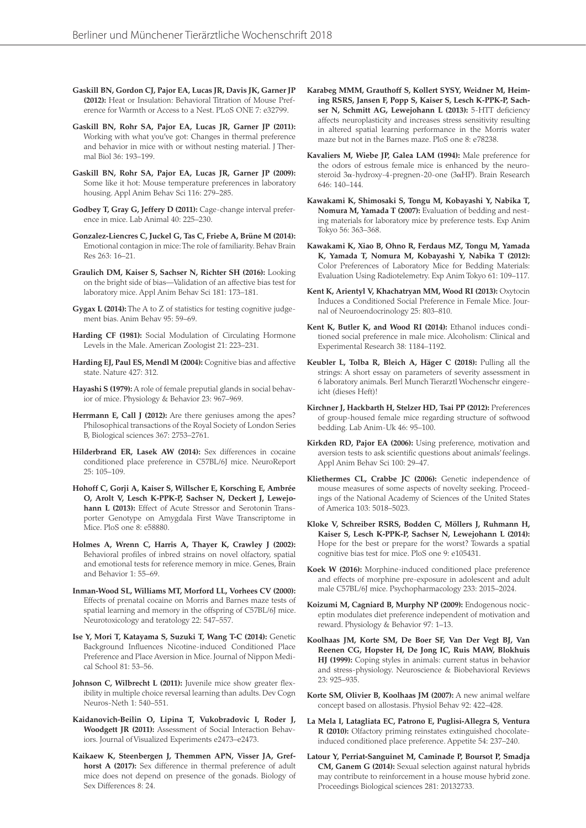- **Gaskill BN, Gordon CJ, Pajor EA, Lucas JR, Davis JK, Garner JP (2012):** Heat or Insulation: Behavioral Titration of Mouse Preference for Warmth or Access to a Nest. PLoS ONE 7: e32799.
- **Gaskill BN, Rohr SA, Pajor EA, Lucas JR, Garner JP (2011):** Working with what you've got: Changes in thermal preference and behavior in mice with or without nesting material. J Thermal Biol 36: 193–199.
- **Gaskill BN, Rohr SA, Pajor EA, Lucas JR, Garner JP (2009):** Some like it hot: Mouse temperature preferences in laboratory housing. Appl Anim Behav Sci 116: 279–285.
- **Godbey T, Gray G, Jeffery D (2011):** Cage-change interval preference in mice. Lab Animal 40: 225–230.
- **Gonzalez-Liencres C, Juckel G, Tas C, Friebe A, Brüne M (2014):** Emotional contagion in mice: The role of familiarity. Behav Brain Res 263: 16–21.
- **Graulich DM, Kaiser S, Sachser N, Richter SH (2016):** Looking on the bright side of bias—Validation of an affective bias test for laboratory mice. Appl Anim Behav Sci 181: 173–181.
- **Gygax L (2014):** The A to Z of statistics for testing cognitive judgement bias. Anim Behav 95: 59–69.
- **Harding CF (1981):** Social Modulation of Circulating Hormone Levels in the Male. American Zoologist 21: 223–231.
- **Harding EJ, Paul ES, Mendl M (2004):** Cognitive bias and affective state. Nature 427: 312.
- **Hayashi S (1979):** A role of female preputial glands in social behavior of mice. Physiology & Behavior 23: 967–969.
- **Herrmann E, Call J (2012):** Are there geniuses among the apes? Philosophical transactions of the Royal Society of London Series B, Biological sciences 367: 2753–2761.
- **Hilderbrand ER, Lasek AW (2014):** Sex differences in cocaine conditioned place preference in C57BL/6J mice. NeuroReport 25: 105–109.
- **Hohoff C, Gorji A, Kaiser S, Willscher E, Korsching E, Ambrée O, Arolt V, Lesch K-PPK-P, Sachser N, Deckert J, Lewejohann L (2013):** Effect of Acute Stressor and Serotonin Transporter Genotype on Amygdala First Wave Transcriptome in Mice. PloS one 8: e58880.
- **Holmes A, Wrenn C, Harris A, Thayer K, Crawley J (2002):** Behavioral profiles of inbred strains on novel olfactory, spatial and emotional tests for reference memory in mice. Genes, Brain and Behavior 1: 55–69.
- **Inman-Wood SL, Williams MT, Morford LL, Vorhees CV (2000):** Effects of prenatal cocaine on Morris and Barnes maze tests of spatial learning and memory in the offspring of C57BL/6J mice. Neurotoxicology and teratology 22: 547–557.
- **Ise Y, Mori T, Katayama S, Suzuki T, Wang T-C (2014):** Genetic Background Influences Nicotine-induced Conditioned Place Preference and Place Aversion in Mice. Journal of Nippon Medical School 81: 53–56.
- Johnson C, Wilbrecht L (2011): Juvenile mice show greater flexibility in multiple choice reversal learning than adults. Dev Cogn Neuros-Neth 1: 540–551.
- **Kaidanovich-Beilin O, Lipina T, Vukobradovic I, Roder J, Woodgett JR (2011):** Assessment of Social Interaction Behaviors. Journal of Visualized Experiments e2473–e2473.
- **Kaikaew K, Steenbergen J, Themmen APN, Visser JA, Grefhorst A (2017):** Sex difference in thermal preference of adult mice does not depend on presence of the gonads. Biology of Sex Differences 8: 24.
- **Karabeg MMM, Grauthoff S, Kollert SYSY, Weidner M, Heiming RSRS, Jansen F, Popp S, Kaiser S, Lesch K-PPK-P, Sachser N, Schmitt AG, Lewejohann L (2013):** 5-HTT deficiency affects neuroplasticity and increases stress sensitivity resulting in altered spatial learning performance in the Morris water maze but not in the Barnes maze. PloS one 8: e78238.
- **Kavaliers M, Wiebe JP, Galea LAM (1994):** Male preference for the odors of estrous female mice is enhanced by the neurosteroid 3a-hydroxy-4-pregnen-20-one (3aHP). Brain Research 646: 140–144.
- **Kawakami K, Shimosaki S, Tongu M, Kobayashi Y, Nabika T, Nomura M, Yamada T (2007):** Evaluation of bedding and nesting materials for laboratory mice by preference tests. Exp Anim Tokyo 56: 363–368.
- **Kawakami K, Xiao B, Ohno R, Ferdaus MZ, Tongu M, Yamada K, Yamada T, Nomura M, Kobayashi Y, Nabika T (2012):** Color Preferences of Laboratory Mice for Bedding Materials: Evaluation Using Radiotelemetry. Exp Anim Tokyo 61: 109–117.
- **Kent K, Arientyl V, Khachatryan MM, Wood RI (2013):** Oxytocin Induces a Conditioned Social Preference in Female Mice. Journal of Neuroendocrinology 25: 803–810.
- **Kent K, Butler K, and Wood RI (2014):** Ethanol induces conditioned social preference in male mice. Alcoholism: Clinical and Experimental Research 38: 1184–1192.
- **Keubler L, Tolba R, Bleich A, Häger C (2018):** Pulling all the strings: A short essay on parameters of severity assessment in 6 laboratory animals. Berl Munch Tierarztl Wochenschr eingereicht (dieses Heft)!
- **Kirchner J, Hackbarth H, Stelzer HD, Tsai PP (2012):** Preferences of group-housed female mice regarding structure of softwood bedding. Lab Anim-Uk 46: 95–100.
- **Kirkden RD, Pajor EA (2006):** Using preference, motivation and aversion tests to ask scientific questions about animals' feelings. Appl Anim Behav Sci 100: 29–47.
- **Kliethermes CL, Crabbe JC (2006):** Genetic independence of mouse measures of some aspects of novelty seeking. Proceedings of the National Academy of Sciences of the United States of America 103: 5018–5023.
- **Kloke V, Schreiber RSRS, Bodden C, Möllers J, Ruhmann H, Kaiser S, Lesch K-PPK-P, Sachser N, Lewejohann L (2014):** Hope for the best or prepare for the worst? Towards a spatial cognitive bias test for mice. PloS one 9: e105431.
- **Koek W (2016):** Morphine-induced conditioned place preference and effects of morphine pre-exposure in adolescent and adult male C57BL/6J mice. Psychopharmacology 233: 2015–2024.
- **Koizumi M, Cagniard B, Murphy NP (2009):** Endogenous nociceptin modulates diet preference independent of motivation and reward. Physiology & Behavior 97: 1–13.
- **Koolhaas JM, Korte SM, De Boer SF, Van Der Vegt BJ, Van Reenen CG, Hopster H, De Jong IC, Ruis MAW, Blokhuis HJ (1999):** Coping styles in animals: current status in behavior and stress-physiology. Neuroscience & Biobehavioral Reviews 23: 925–935.
- **Korte SM, Olivier B, Koolhaas JM (2007):** A new animal welfare concept based on allostasis. Physiol Behav 92: 422–428.
- **La Mela I, Latagliata EC, Patrono E, Puglisi-Allegra S, Ventura R (2010):** Olfactory priming reinstates extinguished chocolateinduced conditioned place preference. Appetite 54: 237–240.
- **Latour Y, Perriat-Sanguinet M, Caminade P, Boursot P, Smadja CM, Ganem G (2014):** Sexual selection against natural hybrids may contribute to reinforcement in a house mouse hybrid zone. Proceedings Biological sciences 281: 20132733.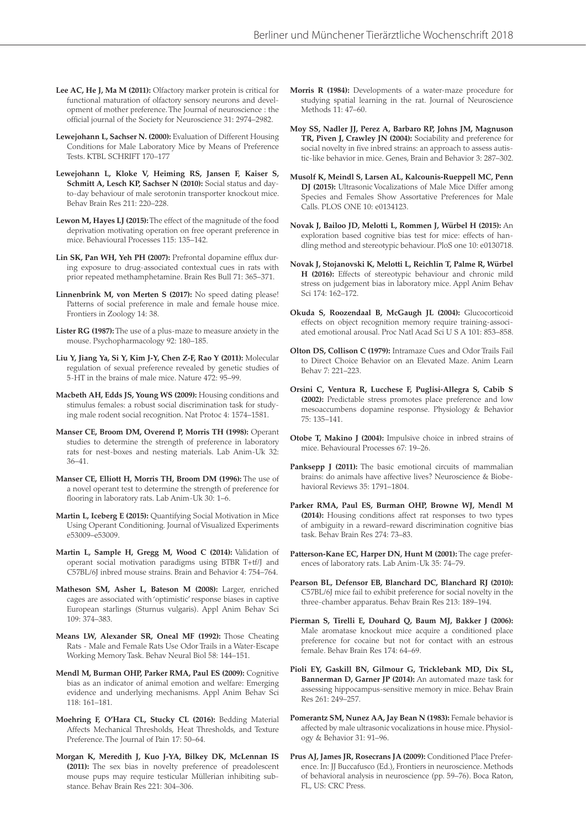- **Lee AC, He J, Ma M (2011):** Olfactory marker protein is critical for functional maturation of olfactory sensory neurons and development of mother preference. The Journal of neuroscience : the official journal of the Society for Neuroscience 31: 2974–2982.
- **Lewejohann L, Sachser N. (2000):** Evaluation of Different Housing Conditions for Male Laboratory Mice by Means of Preference Tests. KTBL SCHRIFT 170–177
- **Lewejohann L, Kloke V, Heiming RS, Jansen F, Kaiser S, Schmitt A, Lesch KP, Sachser N (2010):** Social status and dayto-day behaviour of male serotonin transporter knockout mice. Behav Brain Res 211: 220–228.
- **Lewon M, Hayes LJ (2015):** The effect of the magnitude of the food deprivation motivating operation on free operant preference in mice. Behavioural Processes 115: 135–142.
- **Lin SK, Pan WH, Yeh PH (2007):** Prefrontal dopamine efflux during exposure to drug-associated contextual cues in rats with prior repeated methamphetamine. Brain Res Bull 71: 365–371.
- **Linnenbrink M, von Merten S (2017):** No speed dating please! Patterns of social preference in male and female house mice. Frontiers in Zoology 14: 38.
- **Lister RG (1987):** The use of a plus-maze to measure anxiety in the mouse. Psychopharmacology 92: 180–185.
- **Liu Y, Jiang Ya, Si Y, Kim J-Y, Chen Z-F, Rao Y (2011):** Molecular regulation of sexual preference revealed by genetic studies of 5-HT in the brains of male mice. Nature 472: 95–99.
- **Macbeth AH, Edds JS, Young WS (2009):** Housing conditions and stimulus females: a robust social discrimination task for studying male rodent social recognition. Nat Protoc 4: 1574–1581.
- **Manser CE, Broom DM, Overend P, Morris TH (1998):** Operant studies to determine the strength of preference in laboratory rats for nest-boxes and nesting materials. Lab Anim-Uk 32: 36–41.
- **Manser CE, Elliott H, Morris TH, Broom DM (1996):** The use of a novel operant test to determine the strength of preference for flooring in laboratory rats. Lab Anim-Uk 30: 1–6.
- **Martin L, Iceberg E (2015):** Quantifying Social Motivation in Mice Using Operant Conditioning. Journal of Visualized Experiments e53009–e53009.
- **Martin L, Sample H, Gregg M, Wood C (2014):** Validation of operant social motivation paradigms using BTBR T+tf/J and C57BL/6J inbred mouse strains. Brain and Behavior 4: 754–764.
- **Matheson SM, Asher L, Bateson M (2008):** Larger, enriched cages are associated with 'optimistic' response biases in captive European starlings (Sturnus vulgaris). Appl Anim Behav Sci 109: 374–383.
- **Means LW, Alexander SR, Oneal MF (1992):** Those Cheating Rats - Male and Female Rats Use Odor Trails in a Water-Escape Working Memory Task. Behav Neural Biol 58: 144–151.
- **Mendl M, Burman OHP, Parker RMA, Paul ES (2009):** Cognitive bias as an indicator of animal emotion and welfare: Emerging evidence and underlying mechanisms. Appl Anim Behav Sci 118: 161–181.
- **Moehring F, O'Hara CL, Stucky CL (2016):** Bedding Material Affects Mechanical Thresholds, Heat Thresholds, and Texture Preference. The Journal of Pain 17: 50–64.
- **Morgan K, Meredith J, Kuo J-YA, Bilkey DK, McLennan IS (2011):** The sex bias in novelty preference of preadolescent mouse pups may require testicular Müllerian inhibiting substance. Behav Brain Res 221: 304–306.
- **Morris R (1984):** Developments of a water-maze procedure for studying spatial learning in the rat. Journal of Neuroscience Methods 11: 47–60.
- **Moy SS, Nadler JJ, Perez A, Barbaro RP, Johns JM, Magnuson TR, Piven J, Crawley JN (2004):** Sociability and preference for social novelty in five inbred strains: an approach to assess autistic-like behavior in mice. Genes, Brain and Behavior 3: 287–302.
- **Musolf K, Meindl S, Larsen AL, Kalcounis-Rueppell MC, Penn DJ (2015):** Ultrasonic Vocalizations of Male Mice Differ among Species and Females Show Assortative Preferences for Male Calls. PLOS ONE 10: e0134123.
- **Novak J, Bailoo JD, Melotti L, Rommen J, Würbel H (2015):** An exploration based cognitive bias test for mice: effects of handling method and stereotypic behaviour. PloS one 10: e0130718.
- **Novak J, Stojanovski K, Melotti L, Reichlin T, Palme R, Würbel H (2016):** Effects of stereotypic behaviour and chronic mild stress on judgement bias in laboratory mice. Appl Anim Behav Sci 174: 162–172.
- **Okuda S, Roozendaal B, McGaugh JL (2004):** Glucocorticoid effects on object recognition memory require training-associated emotional arousal. Proc Natl Acad Sci U S A 101: 853–858.
- **Olton DS, Collison C (1979):** Intramaze Cues and Odor Trails Fail to Direct Choice Behavior on an Elevated Maze. Anim Learn Behav 7: 221–223.
- **Orsini C, Ventura R, Lucchese F, Puglisi-Allegra S, Cabib S (2002):** Predictable stress promotes place preference and low mesoaccumbens dopamine response. Physiology & Behavior 75: 135–141.
- **Otobe T, Makino J (2004):** Impulsive choice in inbred strains of mice. Behavioural Processes 67: 19–26.
- Panksepp J (2011): The basic emotional circuits of mammalian brains: do animals have affective lives? Neuroscience & Biobehavioral Reviews 35: 1791–1804.
- **Parker RMA, Paul ES, Burman OHP, Browne WJ, Mendl M (2014):** Housing conditions affect rat responses to two types of ambiguity in a reward–reward discrimination cognitive bias task. Behav Brain Res 274: 73–83.
- **Patterson-Kane EC, Harper DN, Hunt M (2001):** The cage preferences of laboratory rats. Lab Anim-Uk 35: 74–79.
- **Pearson BL, Defensor EB, Blanchard DC, Blanchard RJ (2010):** C57BL/6J mice fail to exhibit preference for social novelty in the three-chamber apparatus. Behav Brain Res 213: 189–194.
- **Pierman S, Tirelli E, Douhard Q, Baum MJ, Bakker J (2006):** Male aromatase knockout mice acquire a conditioned place preference for cocaine but not for contact with an estrous female. Behav Brain Res 174: 64–69.
- **Pioli EY, Gaskill BN, Gilmour G, Tricklebank MD, Dix SL, Bannerman D, Garner JP (2014):** An automated maze task for assessing hippocampus-sensitive memory in mice. Behav Brain Res 261: 249–257.
- **Pomerantz SM, Nunez AA, Jay Bean N (1983):** Female behavior is affected by male ultrasonic vocalizations in house mice. Physiology & Behavior 31: 91–96.
- **Prus AJ, James JR, Rosecrans JA (2009):** Conditioned Place Preference. In: JJ Buccafusco (Ed.), Frontiers in neuroscience. Methods of behavioral analysis in neuroscience (pp. 59–76). Boca Raton, FL, US: CRC Press.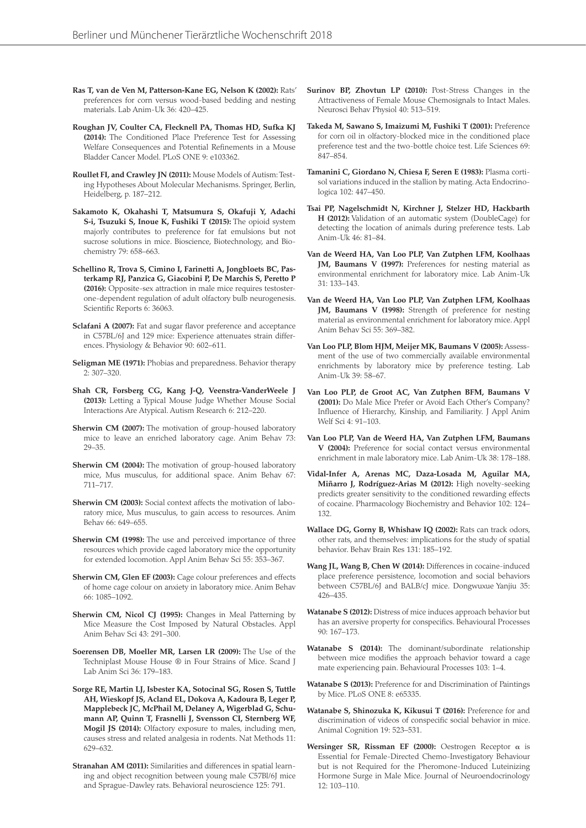- **Ras T, van de Ven M, Patterson-Kane EG, Nelson K (2002):** Rats' preferences for corn versus wood-based bedding and nesting materials. Lab Anim-Uk 36: 420–425.
- **Roughan JV, Coulter CA, Flecknell PA, Thomas HD, Sufka KJ (2014):** The Conditioned Place Preference Test for Assessing Welfare Consequences and Potential Refinements in a Mouse Bladder Cancer Model. PLoS ONE 9: e103362.
- **Roullet FI, and Crawley JN (2011):** Mouse Models of Autism: Testing Hypotheses About Molecular Mechanisms. Springer, Berlin, Heidelberg, p. 187–212.
- **Sakamoto K, Okahashi T, Matsumura S, Okafuji Y, Adachi S-i, Tsuzuki S, Inoue K, Fushiki T (2015):** The opioid system majorly contributes to preference for fat emulsions but not sucrose solutions in mice. Bioscience, Biotechnology, and Biochemistry 79: 658–663.
- **Schellino R, Trova S, Cimino I, Farinetti A, Jongbloets BC, Pasterkamp RJ, Panzica G, Giacobini P, De Marchis S, Peretto P (2016):** Opposite-sex attraction in male mice requires testosterone-dependent regulation of adult olfactory bulb neurogenesis. Scientific Reports 6: 36063.
- **Sclafani A (2007):** Fat and sugar flavor preference and acceptance in C57BL/6J and 129 mice: Experience attenuates strain differences. Physiology & Behavior 90: 602–611.
- **Seligman ME (1971):** Phobias and preparedness. Behavior therapy 2: 307–320.
- **Shah CR, Forsberg CG, Kang J-Q, Veenstra-VanderWeele J (2013):** Letting a Typical Mouse Judge Whether Mouse Social Interactions Are Atypical. Autism Research 6: 212–220.
- **Sherwin CM (2007):** The motivation of group-housed laboratory mice to leave an enriched laboratory cage. Anim Behav 73: 29–35.
- **Sherwin CM (2004):** The motivation of group-housed laboratory mice, Mus musculus, for additional space. Anim Behav 67: 711–717.
- **Sherwin CM (2003):** Social context affects the motivation of laboratory mice, Mus musculus, to gain access to resources. Anim Behav 66: 649–655.
- **Sherwin CM (1998):** The use and perceived importance of three resources which provide caged laboratory mice the opportunity for extended locomotion. Appl Anim Behav Sci 55: 353–367.
- **Sherwin CM, Glen EF (2003):** Cage colour preferences and effects of home cage colour on anxiety in laboratory mice. Anim Behav 66: 1085–1092.
- **Sherwin CM, Nicol CJ (1995):** Changes in Meal Patterning by Mice Measure the Cost Imposed by Natural Obstacles. Appl Anim Behav Sci 43: 291–300.
- **Soerensen DB, Moeller MR, Larsen LR (2009):** The Use of the Techniplast Mouse House ® in Four Strains of Mice. Scand J Lab Anim Sci 36: 179–183.
- **Sorge RE, Martin LJ, Isbester KA, Sotocinal SG, Rosen S, Tuttle AH, Wieskopf JS, Acland EL, Dokova A, Kadoura B, Leger P, Mapplebeck JC, McPhail M, Delaney A, Wigerblad G, Schumann AP, Quinn T, Frasnelli J, Svensson CI, Sternberg WF, Mogil JS (2014):** Olfactory exposure to males, including men, causes stress and related analgesia in rodents. Nat Methods 11: 629–632.
- **Stranahan AM (2011):** Similarities and differences in spatial learning and object recognition between young male C57Bl/6J mice and Sprague-Dawley rats. Behavioral neuroscience 125: 791.
- **Surinov BP, Zhovtun LP (2010):** Post-Stress Changes in the Attractiveness of Female Mouse Chemosignals to Intact Males. Neurosci Behav Physiol 40: 513–519.
- **Takeda M, Sawano S, Imaizumi M, Fushiki T (2001):** Preference for corn oil in olfactory-blocked mice in the conditioned place preference test and the two-bottle choice test. Life Sciences 69: 847–854.
- **Tamanini C, Giordano N, Chiesa F, Seren E (1983):** Plasma cortisol variations induced in the stallion by mating. Acta Endocrinologica 102: 447–450.
- **Tsai PP, Nagelschmidt N, Kirchner J, Stelzer HD, Hackbarth H (2012):** Validation of an automatic system (DoubleCage) for detecting the location of animals during preference tests. Lab Anim-Uk 46: 81–84.
- **Van de Weerd HA, Van Loo PLP, Van Zutphen LFM, Koolhaas JM, Baumans V (1997):** Preferences for nesting material as environmental enrichment for laboratory mice. Lab Anim-Uk 31: 133–143.
- **Van de Weerd HA, Van Loo PLP, Van Zutphen LFM, Koolhaas JM, Baumans V (1998):** Strength of preference for nesting material as environmental enrichment for laboratory mice. Appl Anim Behav Sci 55: 369–382.
- **Van Loo PLP, Blom HJM, Meijer MK, Baumans V (2005):** Assessment of the use of two commercially available environmental enrichments by laboratory mice by preference testing. Lab Anim-Uk 39: 58–67.
- **Van Loo PLP, de Groot AC, Van Zutphen BFM, Baumans V (2001):** Do Male Mice Prefer or Avoid Each Other's Company? Influence of Hierarchy, Kinship, and Familiarity. J Appl Anim Welf Sci 4: 91–103.
- **Van Loo PLP, Van de Weerd HA, Van Zutphen LFM, Baumans V (2004):** Preference for social contact versus environmental enrichment in male laboratory mice. Lab Anim-Uk 38: 178–188.
- **Vidal-Infer A, Arenas MC, Daza-Losada M, Aguilar MA, Miñarro J, Rodríguez-Arias M (2012):** High novelty-seeking predicts greater sensitivity to the conditioned rewarding effects of cocaine. Pharmacology Biochemistry and Behavior 102: 124– 132.
- **Wallace DG, Gorny B, Whishaw IQ (2002):** Rats can track odors, other rats, and themselves: implications for the study of spatial behavior. Behav Brain Res 131: 185–192.
- **Wang JL, Wang B, Chen W (2014):** Differences in cocaine-induced place preference persistence, locomotion and social behaviors between C57BL/6J and BALB/cJ mice. Dongwuxue Yanjiu 35: 426–435.
- **Watanabe S (2012):** Distress of mice induces approach behavior but has an aversive property for conspecifics. Behavioural Processes 90: 167–173.
- **Watanabe S (2014):** The dominant/subordinate relationship between mice modifies the approach behavior toward a cage mate experiencing pain. Behavioural Processes 103: 1–4.
- **Watanabe S (2013):** Preference for and Discrimination of Paintings by Mice. PLoS ONE 8: e65335.
- **Watanabe S, Shinozuka K, Kikusui T (2016):** Preference for and discrimination of videos of conspecific social behavior in mice. Animal Cognition 19: 523–531.
- **Wersinger SR, Rissman EF (2000):** Oestrogen Receptor  $\alpha$  is Essential for Female-Directed Chemo-Investigatory Behaviour but is not Required for the Pheromone-Induced Luteinizing Hormone Surge in Male Mice. Journal of Neuroendocrinology 12: 103–110.